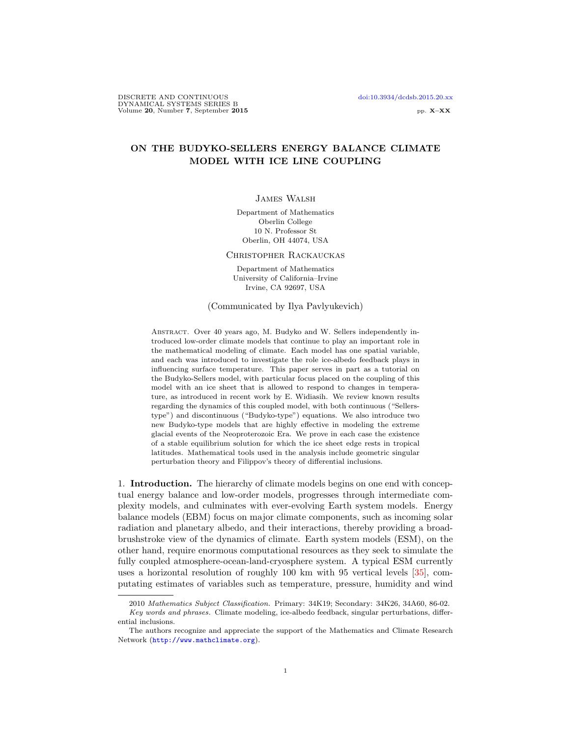# ON THE BUDYKO-SELLERS ENERGY BALANCE CLIMATE MODEL WITH ICE LINE COUPLING

## James Walsh

Department of Mathematics Oberlin College 10 N. Professor St Oberlin, OH 44074, USA

### Christopher Rackauckas

Department of Mathematics University of California–Irvine Irvine, CA 92697, USA

#### (Communicated by Ilya Pavlyukevich)

Abstract. Over 40 years ago, M. Budyko and W. Sellers independently introduced low-order climate models that continue to play an important role in the mathematical modeling of climate. Each model has one spatial variable, and each was introduced to investigate the role ice-albedo feedback plays in influencing surface temperature. This paper serves in part as a tutorial on the Budyko-Sellers model, with particular focus placed on the coupling of this model with an ice sheet that is allowed to respond to changes in temperature, as introduced in recent work by E. Widiasih. We review known results regarding the dynamics of this coupled model, with both continuous ("Sellerstype") and discontinuous ("Budyko-type") equations. We also introduce two new Budyko-type models that are highly effective in modeling the extreme glacial events of the Neoproterozoic Era. We prove in each case the existence of a stable equilibrium solution for which the ice sheet edge rests in tropical latitudes. Mathematical tools used in the analysis include geometric singular perturbation theory and Filippov's theory of differential inclusions.

1. Introduction. The hierarchy of climate models begins on one end with conceptual energy balance and low-order models, progresses through intermediate complexity models, and culminates with ever-evolving Earth system models. Energy balance models (EBM) focus on major climate components, such as incoming solar radiation and planetary albedo, and their interactions, thereby providing a broadbrushstroke view of the dynamics of climate. Earth system models (ESM), on the other hand, require enormous computational resources as they seek to simulate the fully coupled atmosphere-ocean-land-cryosphere system. A typical ESM currently uses a horizontal resolution of roughly 100 km with 95 vertical levels [\[35\]](#page-29-0), computating estimates of variables such as temperature, pressure, humidity and wind

<sup>2010</sup> Mathematics Subject Classification. Primary: 34K19; Secondary: 34K26, 34A60, 86-02. Key words and phrases. Climate modeling, ice-albedo feedback, singular perturbations, differ-

ential inclusions.

The authors recognize and appreciate the support of the Mathematics and Climate Research Network (<http://www.mathclimate.org>).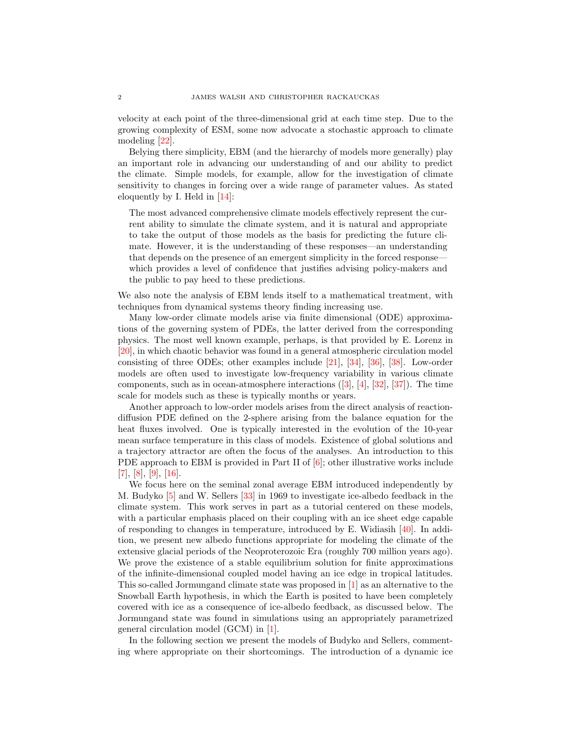velocity at each point of the three-dimensional grid at each time step. Due to the growing complexity of ESM, some now advocate a stochastic approach to climate modeling [\[22\]](#page-28-0).

Belying there simplicity, EBM (and the hierarchy of models more generally) play an important role in advancing our understanding of and our ability to predict the climate. Simple models, for example, allow for the investigation of climate sensitivity to changes in forcing over a wide range of parameter values. As stated eloquently by I. Held in [\[14\]](#page-28-1):

The most advanced comprehensive climate models effectively represent the current ability to simulate the climate system, and it is natural and appropriate to take the output of those models as the basis for predicting the future climate. However, it is the understanding of these responses—an understanding that depends on the presence of an emergent simplicity in the forced response which provides a level of confidence that justifies advising policy-makers and the public to pay heed to these predictions.

We also note the analysis of EBM lends itself to a mathematical treatment, with techniques from dynamical systems theory finding increasing use.

Many low-order climate models arise via finite dimensional (ODE) approximations of the governing system of PDEs, the latter derived from the corresponding physics. The most well known example, perhaps, is that provided by E. Lorenz in [\[20\]](#page-28-2), in which chaotic behavior was found in a general atmospheric circulation model consisting of three ODEs; other examples include [\[21\]](#page-28-3), [\[34\]](#page-29-1), [\[36\]](#page-29-2), [\[38\]](#page-29-3). Low-order models are often used to investigate low-frequency variability in various climate components, such as in ocean-atmosphere interactions  $([3], [4], [32], [37])$  $([3], [4], [32], [37])$  $([3], [4], [32], [37])$  $([3], [4], [32], [37])$  $([3], [4], [32], [37])$  $([3], [4], [32], [37])$  $([3], [4], [32], [37])$  $([3], [4], [32], [37])$  $([3], [4], [32], [37])$ . The time scale for models such as these is typically months or years.

Another approach to low-order models arises from the direct analysis of reactiondiffusion PDE defined on the 2-sphere arising from the balance equation for the heat fluxes involved. One is typically interested in the evolution of the 10-year mean surface temperature in this class of models. Existence of global solutions and a trajectory attractor are often the focus of the analyses. An introduction to this PDE approach to EBM is provided in Part II of [\[6\]](#page-28-6); other illustrative works include [\[7\]](#page-28-7), [\[8\]](#page-28-8), [\[9\]](#page-28-9), [\[16\]](#page-28-10).

We focus here on the seminal zonal average EBM introduced independently by M. Budyko [\[5\]](#page-28-11) and W. Sellers [\[33\]](#page-29-6) in 1969 to investigate ice-albedo feedback in the climate system. This work serves in part as a tutorial centered on these models, with a particular emphasis placed on their coupling with an ice sheet edge capable of responding to changes in temperature, introduced by E. Widiasih [\[40\]](#page-29-7). In addition, we present new albedo functions appropriate for modeling the climate of the extensive glacial periods of the Neoproterozoic Era (roughly 700 million years ago). We prove the existence of a stable equilibrium solution for finite approximations of the infinite-dimensional coupled model having an ice edge in tropical latitudes. This so-called Jormungand climate state was proposed in [\[1\]](#page-28-12) as an alternative to the Snowball Earth hypothesis, in which the Earth is posited to have been completely covered with ice as a consequence of ice-albedo feedback, as discussed below. The Jormungand state was found in simulations using an appropriately parametrized general circulation model (GCM) in [\[1\]](#page-28-12).

In the following section we present the models of Budyko and Sellers, commenting where appropriate on their shortcomings. The introduction of a dynamic ice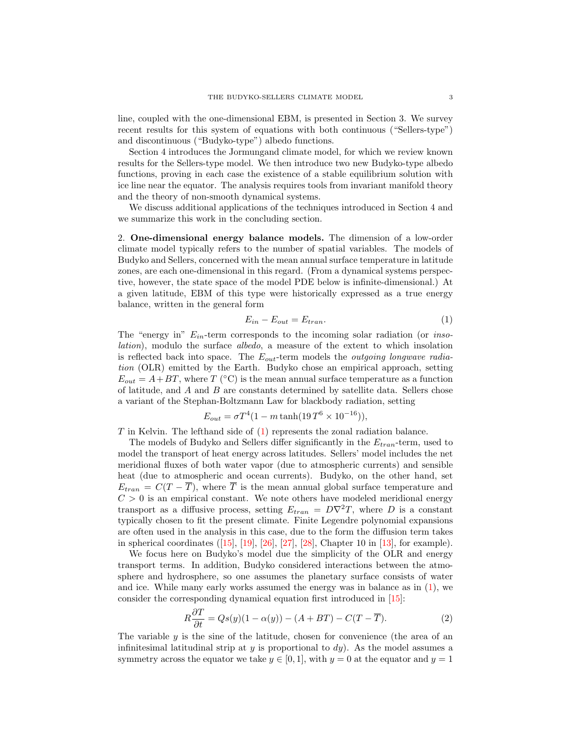line, coupled with the one-dimensional EBM, is presented in Section 3. We survey recent results for this system of equations with both continuous ("Sellers-type") and discontinuous ("Budyko-type") albedo functions.

Section 4 introduces the Jormungand climate model, for which we review known results for the Sellers-type model. We then introduce two new Budyko-type albedo functions, proving in each case the existence of a stable equilibrium solution with ice line near the equator. The analysis requires tools from invariant manifold theory and the theory of non-smooth dynamical systems.

We discuss additional applications of the techniques introduced in Section 4 and we summarize this work in the concluding section.

2. One-dimensional energy balance models. The dimension of a low-order climate model typically refers to the number of spatial variables. The models of Budyko and Sellers, concerned with the mean annual surface temperature in latitude zones, are each one-dimensional in this regard. (From a dynamical systems perspective, however, the state space of the model PDE below is infinite-dimensional.) At a given latitude, EBM of this type were historically expressed as a true energy balance, written in the general form

<span id="page-2-0"></span>
$$
E_{in} - E_{out} = E_{tran}.\tag{1}
$$

The "energy in"  $E_{in}$ -term corresponds to the incoming solar radiation (or *inso*lation), modulo the surface albedo, a measure of the extent to which insolation is reflected back into space. The  $E_{out}$ -term models the *outgoing longwave radia*tion (OLR) emitted by the Earth. Budyko chose an empirical approach, setting  $E_{out} = A + BT$ , where T (°C) is the mean annual surface temperature as a function of latitude, and A and B are constants determined by satellite data. Sellers chose a variant of the Stephan-Boltzmann Law for blackbody radiation, setting

<span id="page-2-1"></span>
$$
E_{out} = \sigma T^4 (1 - m \tanh(19 T^6 \times 10^{-16})),
$$

 $T$  in Kelvin. The lefthand side of  $(1)$  represents the zonal radiation balance.

The models of Budyko and Sellers differ significantly in the  $E_{tran}$ -term, used to model the transport of heat energy across latitudes. Sellers' model includes the net meridional fluxes of both water vapor (due to atmospheric currents) and sensible heat (due to atmospheric and ocean currents). Budyko, on the other hand, set  $E_{tran} = C(T - \overline{T})$ , where  $\overline{T}$  is the mean annual global surface temperature and  $C > 0$  is an empirical constant. We note others have modeled meridional energy transport as a diffusive process, setting  $E_{tran} = D\nabla^2 T$ , where D is a constant typically chosen to fit the present climate. Finite Legendre polynomial expansions are often used in the analysis in this case, due to the form the diffusion term takes in spherical coordinates  $([15], [19], [26], [27], [28],$  $([15], [19], [26], [27], [28],$  $([15], [19], [26], [27], [28],$  $([15], [19], [26], [27], [28],$  $([15], [19], [26], [27], [28],$  $([15], [19], [26], [27], [28],$  $([15], [19], [26], [27], [28],$  $([15], [19], [26], [27], [28],$  $([15], [19], [26], [27], [28],$  $([15], [19], [26], [27], [28],$  $([15], [19], [26], [27], [28],$  Chapter 10 in [\[13\]](#page-28-15), for example).

We focus here on Budyko's model due the simplicity of the OLR and energy transport terms. In addition, Budyko considered interactions between the atmosphere and hydrosphere, so one assumes the planetary surface consists of water and ice. While many early works assumed the energy was in balance as in [\(1\)](#page-2-0), we consider the corresponding dynamical equation first introduced in [\[15\]](#page-28-13):

$$
R\frac{\partial T}{\partial t} = Qs(y)(1 - \alpha(y)) - (A + BT) - C(T - \overline{T}).
$$
\n(2)

The variable  $\gamma$  is the sine of the latitude, chosen for convenience (the area of an infinitesimal latitudinal strip at  $y$  is proportional to  $dy$ ). As the model assumes a symmetry across the equator we take  $y \in [0, 1]$ , with  $y = 0$  at the equator and  $y = 1$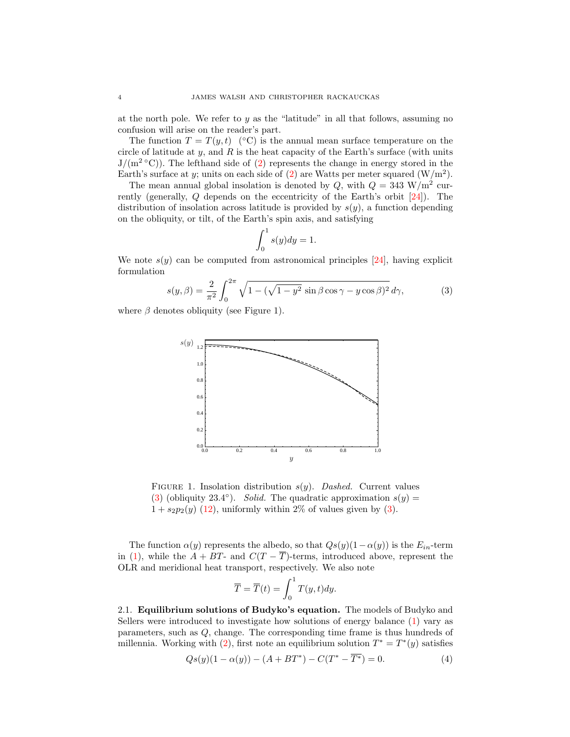at the north pole. We refer to  $y$  as the "latitude" in all that follows, assuming no confusion will arise on the reader's part.

The function  $T = T(y, t)$  (°C) is the annual mean surface temperature on the circle of latitude at y, and R is the heat capacity of the Earth's surface (with units  $J/(m^2 °C)$ ). The lefthand side of [\(2\)](#page-2-1) represents the change in energy stored in the Earth's surface at y; units on each side of  $(2)$  are Watts per meter squared  $(W/m^2)$ .

The mean annual global insolation is denoted by  $Q$ , with  $Q = 343 \text{ W/m}^2$  currently (generally, Q depends on the eccentricity of the Earth's orbit [\[24\]](#page-28-16)). The distribution of insolation across latitude is provided by  $s(y)$ , a function depending on the obliquity, or tilt, of the Earth's spin axis, and satisfying

<span id="page-3-0"></span>
$$
\int_0^1 s(y) dy = 1.
$$

We note  $s(y)$  can be computed from astronomical principles [\[24\]](#page-28-16), having explicit formulation

$$
s(y,\beta) = \frac{2}{\pi^2} \int_0^{2\pi} \sqrt{1 - (\sqrt{1 - y^2} \sin \beta \cos \gamma - y \cos \beta)^2} \, d\gamma,\tag{3}
$$

where  $\beta$  denotes obliquity (see Figure 1).



FIGURE 1. Insolation distribution  $s(y)$ . Dashed. Current values [\(3\)](#page-3-0) (obliquity 23.4°). Solid. The quadratic approximation  $s(y) =$  $1 + s_2p_2(y)$  [\(12\)](#page-7-0), uniformly within 2% of values given by [\(3\)](#page-3-0).

The function  $\alpha(y)$  represents the albedo, so that  $Q_s(y)(1-\alpha(y))$  is the  $E_{in}$ -term in [\(1\)](#page-2-0), while the  $A + BT$ - and  $C(T - \overline{T})$ -terms, introduced above, represent the OLR and meridional heat transport, respectively. We also note

<span id="page-3-1"></span>
$$
\overline{T} = \overline{T}(t) = \int_0^1 T(y, t) dy.
$$

2.1. Equilibrium solutions of Budyko's equation. The models of Budyko and Sellers were introduced to investigate how solutions of energy balance [\(1\)](#page-2-0) vary as parameters, such as Q, change. The corresponding time frame is thus hundreds of millennia. Working with [\(2\)](#page-2-1), first note an equilibrium solution  $T^* = T^*(y)$  satisfies

$$
Qs(y)(1 - \alpha(y)) - (A + BT^*) - C(T^* - \overline{T^*}) = 0.
$$
 (4)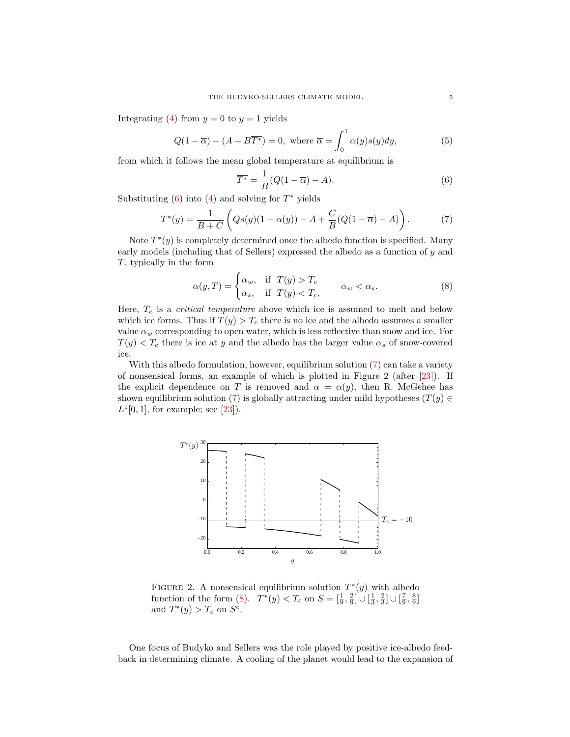Integrating [\(4\)](#page-3-1) from  $y = 0$  to  $y = 1$  yields

<span id="page-4-3"></span>
$$
Q(1 - \overline{\alpha}) - (A + B\overline{T^*}) = 0, \text{ where } \overline{\alpha} = \int_0^1 \alpha(y)s(y)dy,
$$
 (5)

from which it follows the mean global temperature at equilibrium is

<span id="page-4-0"></span>
$$
\overline{T^*} = \frac{1}{B}(Q(1 - \overline{\alpha}) - A). \tag{6}
$$

Substituting  $(6)$  into  $(4)$  and solving for  $T^*$  yields

<span id="page-4-1"></span>
$$
T^*(y) = \frac{1}{B+C} \left( Qs(y)(1-\alpha(y)) - A + \frac{C}{B}(Q(1-\overline{\alpha}) - A) \right).
$$
 (7)

Note  $T^*(y)$  is completely determined once the albedo function is specified. Many early models (including that of Sellers) expressed the albedo as a function of y and T, typically in the form

<span id="page-4-2"></span>
$$
\alpha(y,T) = \begin{cases} \alpha_w, & \text{if } T(y) > T_c \\ \alpha_s, & \text{if } T(y) < T_c, \end{cases} \qquad \alpha_w < \alpha_s. \tag{8}
$$

Here,  $T_c$  is a *critical temperature* above which ice is assumed to melt and below which ice forms. Thus if  $T(y) > T_c$  there is no ice and the albedo assumes a smaller value  $\alpha_w$  corresponding to open water, which is less reflective than snow and ice. For  $T(y) < T_c$  there is ice at y and the albedo has the larger value  $\alpha_s$  of snow-covered ice.

With this albedo formulation, however, equilibrium solution  $(7)$  can take a variety of nonsensical forms, an example of which is plotted in Figure 2 (after [\[23\]](#page-28-17)). If the explicit dependence on T is removed and  $\alpha = \alpha(y)$ , then R. McGehee has shown equilibrium solution [\(7\)](#page-4-1) is globally attracting under mild hypotheses ( $T(y) \in$  $L^{1}[0,1]$ , for example; see [\[23\]](#page-28-17)).



FIGURE 2. A nonsensical equilibrium solution  $T^*(y)$  with albedo function of the form [\(8\)](#page-4-2).  $T^*(y) < T_c$  on  $S = \left[\frac{1}{9}, \frac{2}{9}\right] \cup \left[\frac{1}{3}, \frac{2}{3}\right] \cup \left[\frac{7}{9}, \frac{8}{9}\right]$ and  $T^*(y) > T_c$  on  $S^c$ .

One focus of Budyko and Sellers was the role played by positive ice-albedo feedback in determining climate. A cooling of the planet would lead to the expansion of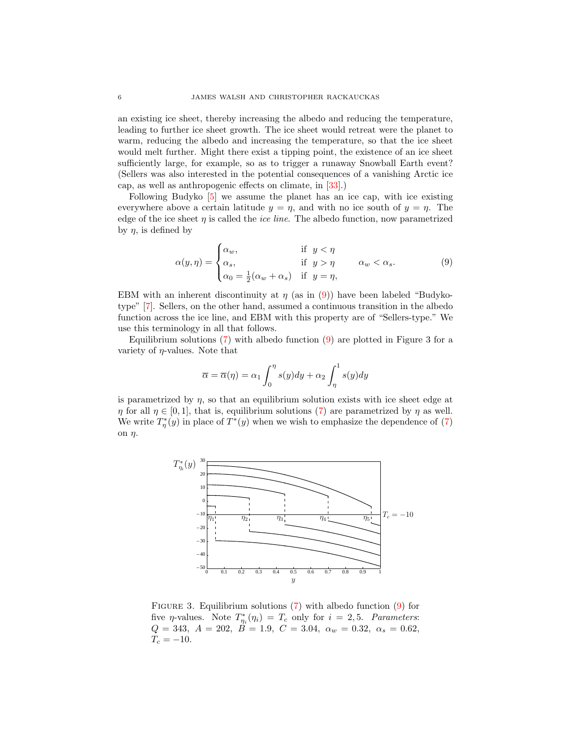an existing ice sheet, thereby increasing the albedo and reducing the temperature, leading to further ice sheet growth. The ice sheet would retreat were the planet to warm, reducing the albedo and increasing the temperature, so that the ice sheet would melt further. Might there exist a tipping point, the existence of an ice sheet sufficiently large, for example, so as to trigger a runaway Snowball Earth event? (Sellers was also interested in the potential consequences of a vanishing Arctic ice cap, as well as anthropogenic effects on climate, in [\[33\]](#page-29-6).)

Following Budyko [\[5\]](#page-28-11) we assume the planet has an ice cap, with ice existing everywhere above a certain latitude  $y = \eta$ , and with no ice south of  $y = \eta$ . The edge of the ice sheet  $\eta$  is called the *ice line*. The albedo function, now parametrized by  $\eta$ , is defined by

<span id="page-5-0"></span>
$$
\alpha(y,\eta) = \begin{cases} \alpha_w, & \text{if } y < \eta \\ \alpha_s, & \text{if } y > \eta \\ \alpha_0 = \frac{1}{2}(\alpha_w + \alpha_s) & \text{if } y = \eta, \end{cases}
$$
 (9)

EBM with an inherent discontinuity at  $\eta$  (as in [\(9\)](#page-5-0)) have been labeled "Budykotype" [\[7\]](#page-28-7). Sellers, on the other hand, assumed a continuous transition in the albedo function across the ice line, and EBM with this property are of "Sellers-type." We use this terminology in all that follows.

Equilibrium solutions  $(7)$  with albedo function  $(9)$  are plotted in Figure 3 for a variety of  $\eta$ -values. Note that

<span id="page-5-1"></span>
$$
\overline{\alpha} = \overline{\alpha}(\eta) = \alpha_1 \int_0^{\eta} s(y) dy + \alpha_2 \int_{\eta}^1 s(y) dy
$$

is parametrized by  $\eta$ , so that an equilibrium solution exists with ice sheet edge at  $\eta$  for all  $\eta \in [0,1]$ , that is, equilibrium solutions [\(7\)](#page-4-1) are parametrized by  $\eta$  as well. We write  $T_{\eta}^*(y)$  in place of  $T^*(y)$  when we wish to emphasize the dependence of [\(7\)](#page-4-1) on  $\eta$ .



FIGURE 3. Equilibrium solutions  $(7)$  with albedo function  $(9)$  for five  $\eta$ -values. Note  $T_{\eta_i}^*(\eta_i) = T_c$  only for  $i = 2, 5$ . Parameters:  $Q = 343, A = 202, B = 1.9, C = 3.04, \alpha_w = 0.32, \alpha_s = 0.62,$  $T_c = -10.$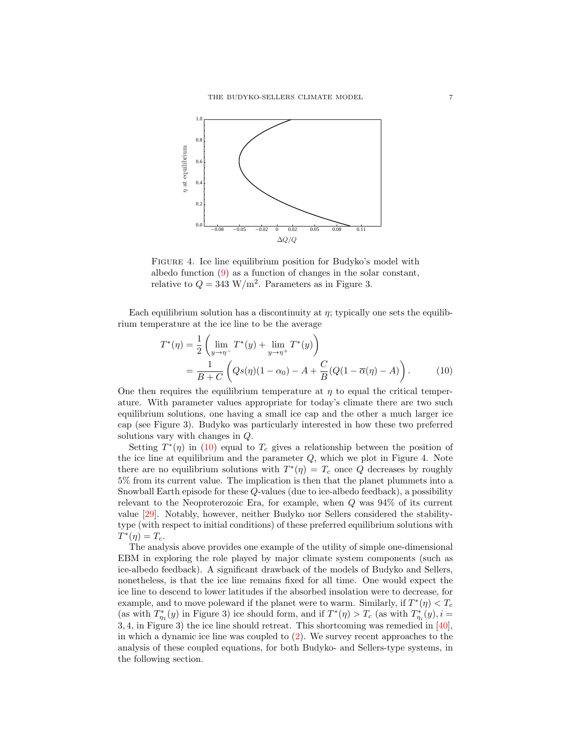

FIGURE 4. Ice line equilibrium position for Budyko's model with albedo function [\(9\)](#page-5-0) as a function of changes in the solar constant, relative to  $Q = 343 \text{ W/m}^2$ . Parameters as in Figure 3.

Each equilibrium solution has a discontinuity at  $\eta$ ; typically one sets the equilibrium temperature at the ice line to be the average

$$
T^*(\eta) = \frac{1}{2} \left( \lim_{y \to \eta^-} T^*(y) + \lim_{y \to \eta^+} T^*(y) \right)
$$
  
= 
$$
\frac{1}{B+C} \left( Qs(\eta)(1-\alpha_0) - A + \frac{C}{B} (Q(1-\overline{\alpha}(\eta) - A)) \right).
$$
 (10)

One then requires the equilibrium temperature at  $\eta$  to equal the critical temperature. With parameter values appropriate for today's climate there are two such equilibrium solutions, one having a small ice cap and the other a much larger ice cap (see Figure 3). Budyko was particularly interested in how these two preferred solutions vary with changes in Q.

Setting  $T^*(\eta)$  in [\(10\)](#page-5-1) equal to  $T_c$  gives a relationship between the position of the ice line at equilibrium and the parameter  $Q$ , which we plot in Figure 4. Note there are no equilibrium solutions with  $T^*(\eta) = T_c$  once Q decreases by roughly 5% from its current value. The implication is then that the planet plummets into a Snowball Earth episode for these Q-values (due to ice-albedo feedback), a possibility relevant to the Neoproterozoic Era, for example, when Q was 94% of its current value [\[29\]](#page-29-11). Notably, however, neither Budyko nor Sellers considered the stabilitytype (with respect to initial conditions) of these preferred equilibrium solutions with  $T^*(\eta)=T_c.$ 

The analysis above provides one example of the utility of simple one-dimensional EBM in exploring the role played by major climate system components (such as ice-albedo feedback). A significant drawback of the models of Budyko and Sellers, nonetheless, is that the ice line remains fixed for all time. One would expect the ice line to descend to lower latitudes if the absorbed insolation were to decrease, for example, and to move poleward if the planet were to warm. Similarly, if  $T^*(\eta) < T_c$ (as with  $T_{\eta_1}^*(y)$  in Figure 3) ice should form, and if  $T^*(\eta) > T_c$  (as with  $T_{\eta_i}^*(y)$ ,  $i =$ 3, 4, in Figure 3) the ice line should retreat. This shortcoming was remedied in [\[40\]](#page-29-7), in which a dynamic ice line was coupled to [\(2\)](#page-2-1). We survey recent approaches to the analysis of these coupled equations, for both Budyko- and Sellers-type systems, in the following section.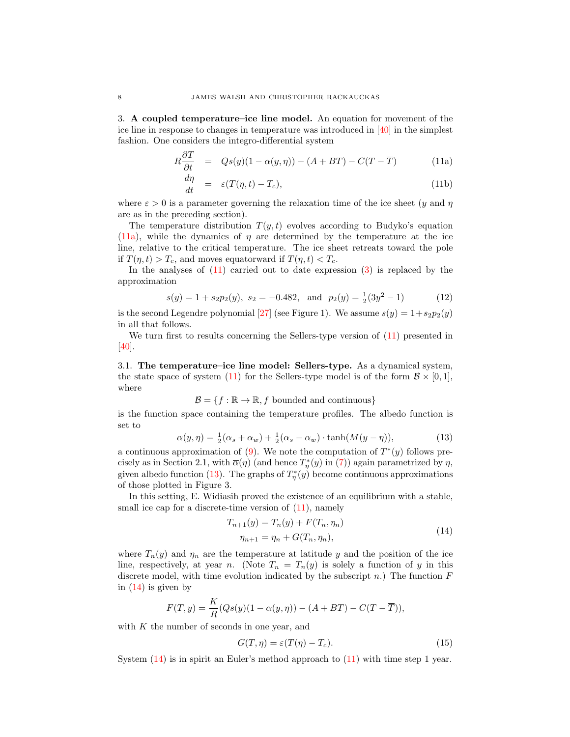3. A coupled temperature–ice line model. An equation for movement of the ice line in response to changes in temperature was introduced in [\[40\]](#page-29-7) in the simplest fashion. One considers the integro-differential system

$$
R\frac{\partial T}{\partial t} = Qs(y)(1 - \alpha(y, \eta)) - (A + BT) - C(T - \overline{T})
$$
 (11a)

<span id="page-7-2"></span><span id="page-7-1"></span>
$$
\frac{d\eta}{dt} = \varepsilon (T(\eta, t) - T_c), \tag{11b}
$$

where  $\varepsilon > 0$  is a parameter governing the relaxation time of the ice sheet (y and  $\eta$ ) are as in the preceding section).

The temperature distribution  $T(y, t)$  evolves according to Budyko's equation [\(11a\)](#page-7-1), while the dynamics of  $\eta$  are determined by the temperature at the ice line, relative to the critical temperature. The ice sheet retreats toward the pole if  $T(\eta, t) > T_c$ , and moves equatorward if  $T(\eta, t) < T_c$ .

In the analyses of  $(11)$  carried out to date expression  $(3)$  is replaced by the approximation

<span id="page-7-0"></span>
$$
s(y) = 1 + s_2 p_2(y), \ s_2 = -0.482, \text{ and } p_2(y) = \frac{1}{2}(3y^2 - 1)
$$
 (12)

is the second Legendre polynomial [\[27\]](#page-29-9) (see Figure 1). We assume  $s(y) = 1 + s_2p_2(y)$ in all that follows.

We turn first to results concerning the Sellers-type version of  $(11)$  presented in [\[40\]](#page-29-7).

3.1. The temperature–ice line model: Sellers-type. As a dynamical system, the state space of system [\(11\)](#page-7-2) for the Sellers-type model is of the form  $\mathcal{B} \times [0,1],$ where

$$
\mathcal{B} = \{f : \mathbb{R} \to \mathbb{R}, f \text{ bounded and continuous}\}
$$

is the function space containing the temperature profiles. The albedo function is set to

<span id="page-7-3"></span>
$$
\alpha(y,\eta) = \frac{1}{2}(\alpha_s + \alpha_w) + \frac{1}{2}(\alpha_s - \alpha_w) \cdot \tanh(M(y-\eta)),\tag{13}
$$

a continuous approximation of  $(9)$ . We note the computation of  $T^*(y)$  follows precisely as in Section 2.1, with  $\overline{\alpha}(\eta)$  (and hence  $T^*_{\eta}(y)$  in [\(7\)](#page-4-1)) again parametrized by  $\eta$ , given albedo function [\(13\)](#page-7-3). The graphs of  $T^*_{\eta}(y)$  become continuous approximations of those plotted in Figure 3.

In this setting, E. Widiasih proved the existence of an equilibrium with a stable, small ice cap for a discrete-time version of  $(11)$ , namely

$$
T_{n+1}(y) = T_n(y) + F(T_n, \eta_n)
$$
  
\n
$$
\eta_{n+1} = \eta_n + G(T_n, \eta_n),
$$
\n(14)

<span id="page-7-4"></span>where  $T_n(y)$  and  $\eta_n$  are the temperature at latitude y and the position of the ice line, respectively, at year n. (Note  $T_n = T_n(y)$  is solely a function of y in this discrete model, with time evolution indicated by the subscript n.) The function  $F$ in  $(14)$  is given by

<span id="page-7-5"></span>
$$
F(T, y) = \frac{K}{R}(Qs(y)(1 - \alpha(y, \eta)) - (A + BT) - C(T - \overline{T})),
$$

with  $K$  the number of seconds in one year, and

$$
G(T, \eta) = \varepsilon(T(\eta) - T_c). \tag{15}
$$

System  $(14)$  is in spirit an Euler's method approach to  $(11)$  with time step 1 year.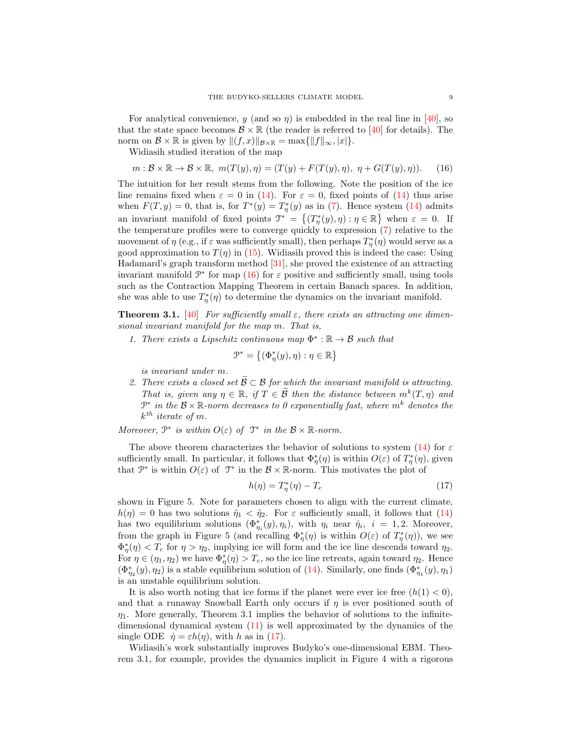For analytical convenience, y (and so  $\eta$ ) is embedded in the real line in [\[40\]](#page-29-7), so that the state space becomes  $\mathcal{B} \times \mathbb{R}$  (the reader is referred to [\[40\]](#page-29-7) for details). The norm on  $\mathcal{B} \times \mathbb{R}$  is given by  $||(f, x)||_{\mathcal{B} \times \mathbb{R}} = \max{||f||_{\infty}, |x|}.$ 

Widiasih studied iteration of the map

<span id="page-8-0"></span>
$$
m: \mathcal{B} \times \mathbb{R} \to \mathcal{B} \times \mathbb{R}, \ m(T(y), \eta) = (T(y) + F(T(y), \eta), \ \eta + G(T(y), \eta)). \tag{16}
$$

The intuition for her result stems from the following. Note the position of the ice line remains fixed when  $\varepsilon = 0$  in [\(14\)](#page-7-4). For  $\varepsilon = 0$ , fixed points of (14) thus arise when  $F(T, y) = 0$ , that is, for  $T^*(y) = T^*_\eta(y)$  as in [\(7\)](#page-4-1). Hence system [\(14\)](#page-7-4) admits an invariant manifold of fixed points  $\mathcal{T}^* = \{(T^*_\eta(y), \eta) : \eta \in \mathbb{R}\}\$  when  $\varepsilon = 0$ . If the temperature profiles were to converge quickly to expression [\(7\)](#page-4-1) relative to the movement of  $\eta$  (e.g., if  $\varepsilon$  was sufficiently small), then perhaps  $T^*_{\eta}(\eta)$  would serve as a good approximation to  $T(\eta)$  in [\(15\)](#page-7-5). Widiasih proved this is indeed the case: Using Hadamard's graph transform method [\[31\]](#page-29-12), she proved the existence of an attracting invariant manifold  $\mathcal{P}^*$  for map [\(16\)](#page-8-0) for  $\varepsilon$  positive and sufficiently small, using tools such as the Contraction Mapping Theorem in certain Banach spaces. In addition, she was able to use  $T_{\eta}^*(\eta)$  to determine the dynamics on the invariant manifold.

**Theorem 3.1.** [\[40\]](#page-29-7) For sufficiently small  $\varepsilon$ , there exists an attracting one dimensional invariant manifold for the map m. That is,

1. There exists a Lipschitz continuous map  $\Phi^* : \mathbb{R} \to \mathcal{B}$  such that

$$
\mathcal{P}^* = \left\{ (\Phi^*_{\eta}(y), \eta) : \eta \in \mathbb{R} \right\}
$$

is invariant under m.

2. There exists a closed set  $\widetilde{\mathcal{B}} \subset \mathcal{B}$  for which the invariant manifold is attracting. That is, given any  $\eta \in \mathbb{R}$ , if  $T \in \widetilde{\mathcal{B}}$  then the distance between  $m^k(T, \eta)$  and  $\mathbb{P}^*$  in the  $\mathcal{B} \times \mathbb{R}$ -norm decreases to 0 exponentially fast, where  $m^k$  denotes the  $k^{th}$  iterate of m.

Moreover,  $\mathcal{P}^*$  is within  $O(\varepsilon)$  of  $\mathcal{T}^*$  in the  $\mathcal{B} \times \mathbb{R}$ -norm.

The above theorem characterizes the behavior of solutions to system [\(14\)](#page-7-4) for  $\varepsilon$ sufficiently small. In particular, it follows that  $\Phi^*_{\eta}(\eta)$  is within  $O(\varepsilon)$  of  $T^*_{\eta}(\eta)$ , given that  $\mathcal{P}^*$  is within  $O(\varepsilon)$  of  $\mathcal{T}^*$  in the  $\mathcal{B} \times \mathbb{R}$ -norm. This motivates the plot of

<span id="page-8-1"></span>
$$
h(\eta) = T_{\eta}^*(\eta) - T_c \tag{17}
$$

shown in Figure 5. Note for parameters chosen to align with the current climate,  $h(\eta) = 0$  has two solutions  $\hat{\eta}_1 < \hat{\eta}_2$ . For  $\varepsilon$  sufficiently small, it follows that [\(14\)](#page-7-4) has two equilibrium solutions  $(\Phi_{\eta_i}^*(y), \eta_i)$ , with  $\eta_i$  near  $\hat{\eta}_i$ ,  $i = 1, 2$ . Moreover, from the graph in Figure 5 (and recalling  $\Phi_{\eta}^*(\eta)$  is within  $O(\varepsilon)$  of  $T_{\eta}^*(\eta)$ ), we see  $\Phi_{\eta}^*(\eta) < T_c$  for  $\eta > \eta_2$ , implying ice will form and the ice line descends toward  $\eta_2$ . For  $\eta \in (\eta_1, \eta_2)$  we have  $\Phi_{\eta}^*(\eta) > T_c$ , so the ice line retreats, again toward  $\eta_2$ . Hence  $(\Phi_{\eta_2}^*(y), \eta_2)$  is a stable equilibrium solution of [\(14\)](#page-7-4). Similarly, one finds  $(\Phi_{\eta_1}^*(y), \eta_1)$ is an unstable equilibrium solution.

It is also worth noting that ice forms if the planet were ever ice free  $(h(1) < 0)$ , and that a runaway Snowball Earth only occurs if  $\eta$  is ever positioned south of  $\eta_1$ . More generally, Theorem 3.1 implies the behavior of solutions to the infinitedimensional dynamical system [\(11\)](#page-7-2) is well approximated by the dynamics of the single ODE  $\dot{\eta} = \varepsilon h(\eta)$ , with h as in [\(17\)](#page-8-1).

Widiasih's work substantially improves Budyko's one-dimensional EBM. Theorem 3.1, for example, provides the dynamics implicit in Figure 4 with a rigorous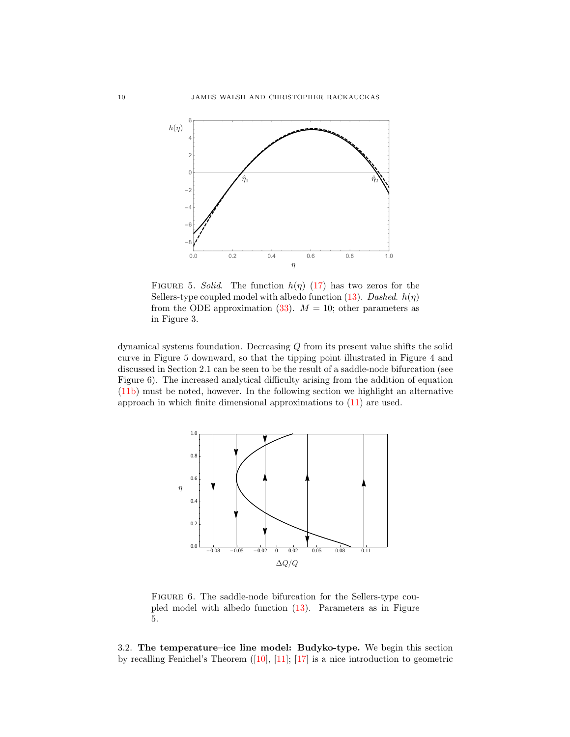

FIGURE 5. Solid. The function  $h(\eta)$  [\(17\)](#page-8-1) has two zeros for the Sellers-type coupled model with albedo function [\(13\)](#page-7-3). Dashed.  $h(\eta)$ from the ODE approximation  $(33)$ .  $M = 10$ ; other parameters as in Figure 3.

dynamical systems foundation. Decreasing Q from its present value shifts the solid curve in Figure 5 downward, so that the tipping point illustrated in Figure 4 and discussed in Section 2.1 can be seen to be the result of a saddle-node bifurcation (see Figure 6). The increased analytical difficulty arising from the addition of equation [\(11b\)](#page-7-1) must be noted, however. In the following section we highlight an alternative approach in which finite dimensional approximations to [\(11\)](#page-7-2) are used.



FIGURE 6. The saddle-node bifurcation for the Sellers-type coupled model with albedo function [\(13\)](#page-7-3). Parameters as in Figure 5.

3.2. The temperature–ice line model: Budyko-type. We begin this section by recalling Fenichel's Theorem ([\[10\]](#page-28-18), [\[11\]](#page-28-19); [\[17\]](#page-28-20) is a nice introduction to geometric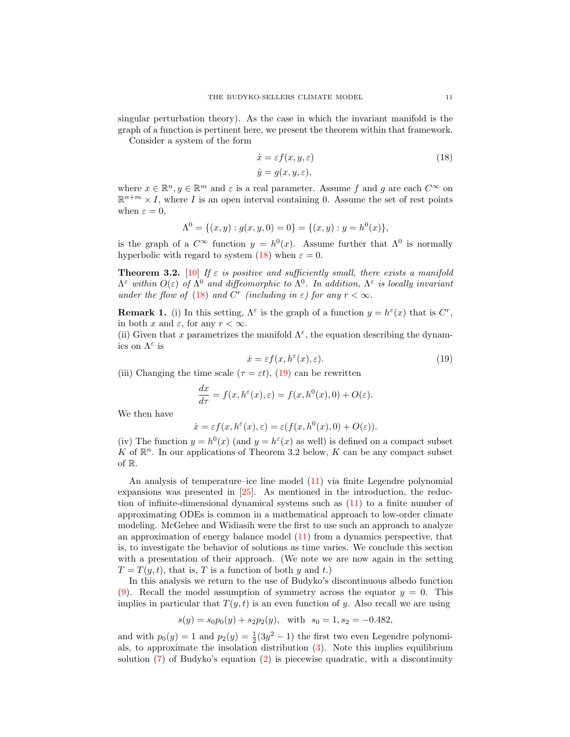singular perturbation theory). As the case in which the invariant manifold is the graph of a function is pertinent here, we present the theorem within that framework.

Consider a system of the form

<span id="page-10-0"></span>
$$
\begin{aligned}\n\dot{x} &= \varepsilon f(x, y, \varepsilon) \\
\dot{y} &= g(x, y, \varepsilon),\n\end{aligned} \tag{18}
$$

where  $x \in \mathbb{R}^n, y \in \mathbb{R}^m$  and  $\varepsilon$  is a real parameter. Assume f and g are each  $C^{\infty}$  on  $\mathbb{R}^{n+m} \times I$ , where I is an open interval containing 0. Assume the set of rest points when  $\varepsilon = 0$ ,

<span id="page-10-1"></span>
$$
\Lambda^0 = \{ (x, y) : g(x, y, 0) = 0 \} = \{ (x, y) : y = h^0(x) \},
$$

is the graph of a  $C^{\infty}$  function  $y = h^{0}(x)$ . Assume further that  $\Lambda^{0}$  is normally hyperbolic with regard to system [\(18\)](#page-10-0) when  $\varepsilon = 0$ .

**Theorem 3.2.** [\[10\]](#page-28-18) If  $\varepsilon$  is positive and sufficiently small, there exists a manifold  $\Lambda^{\varepsilon}$  within  $O(\varepsilon)$  of  $\Lambda^{0}$  and diffeomorphic to  $\Lambda^{0}$ . In addition,  $\Lambda^{\varepsilon}$  is locally invariant under the flow of [\(18\)](#page-10-0) and  $C^r$  (including in  $\varepsilon$ ) for any  $r < \infty$ .

**Remark 1.** (i) In this setting,  $\Lambda^{\varepsilon}$  is the graph of a function  $y = h^{\varepsilon}(x)$  that is  $C^{r}$ , in both x and  $\varepsilon$ , for any  $r < \infty$ .

(ii) Given that x parametrizes the manifold  $\Lambda^{\varepsilon}$ , the equation describing the dynamics on  $\Lambda^{\varepsilon}$  is

$$
\dot{x} = \varepsilon f(x, h^{\varepsilon}(x), \varepsilon). \tag{19}
$$

(iii) Changing the time scale ( $\tau = \varepsilon t$ ), [\(19\)](#page-10-1) can be rewritten

<span id="page-10-2"></span>
$$
\frac{dx}{d\tau} = f(x, h^{\varepsilon}(x), \varepsilon) = f(x, h^{0}(x), 0) + O(\varepsilon).
$$

We then have

$$
\dot{x} = \varepsilon f(x, h^{\varepsilon}(x), \varepsilon) = \varepsilon(f(x, h^{0}(x), 0) + O(\varepsilon)).
$$

(iv) The function  $y = h^0(x)$  (and  $y = h^{\varepsilon}(x)$  as well) is defined on a compact subset K of  $\mathbb{R}^n$ . In our applications of Theorem 3.2 below, K can be any compact subset of R.

An analysis of temperature–ice line model [\(11\)](#page-7-2) via finite Legendre polynomial expansions was presented in [\[25\]](#page-29-13). As mentioned in the introduction, the reduction of infinite-dimensional dynamical systems such as [\(11\)](#page-7-2) to a finite number of approximating ODEs is common in a mathematical approach to low-order climate modeling. McGehee and Widiasih were the first to use such an approach to analyze an approximation of energy balance model [\(11\)](#page-7-2) from a dynamics perspective, that is, to investigate the behavior of solutions as time varies. We conclude this section with a presentation of their approach. (We note we are now again in the setting  $T = T(y, t)$ , that is, T is a function of both y and t.)

In this analysis we return to the use of Budyko's discontinuous albedo function [\(9\)](#page-5-0). Recall the model assumption of symmetry across the equator  $y = 0$ . This implies in particular that  $T(y, t)$  is an even function of y. Also recall we are using

$$
s(y) = s_0 p_0(y) + s_2 p_2(y)
$$
, with  $s_0 = 1, s_2 = -0.482$ ,

and with  $p_0(y) = 1$  and  $p_2(y) = \frac{1}{2}(3y^2 - 1)$  the first two even Legendre polynomials, to approximate the insolation distribution [\(3\)](#page-3-0). Note this implies equilibrium solution [\(7\)](#page-4-1) of Budyko's equation [\(2\)](#page-2-1) is piecewise quadratic, with a discontinuity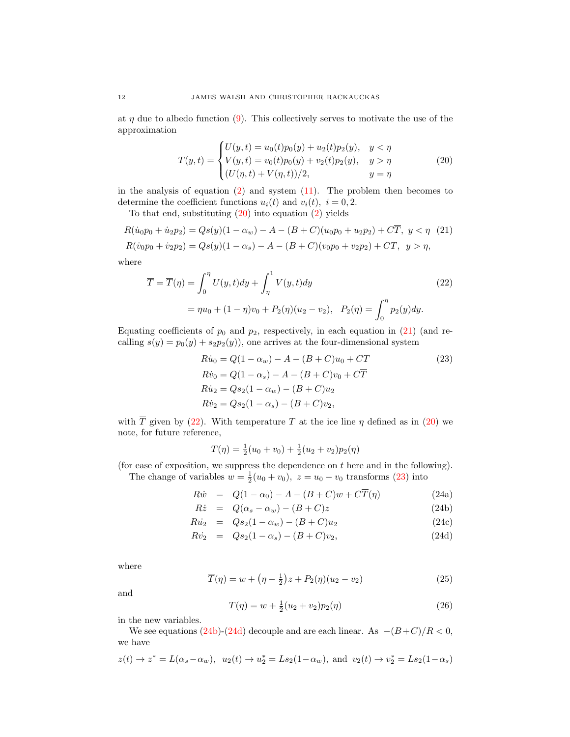at  $\eta$  due to albedo function [\(9\)](#page-5-0). This collectively serves to motivate the use of the approximation

<span id="page-11-0"></span>
$$
T(y,t) = \begin{cases} U(y,t) = u_0(t)p_0(y) + u_2(t)p_2(y), & y < \eta \\ V(y,t) = v_0(t)p_0(y) + v_2(t)p_2(y), & y > \eta \\ (U(\eta, t) + V(\eta, t))/2, & y = \eta \end{cases}
$$
(20)

in the analysis of equation  $(2)$  and system  $(11)$ . The problem then becomes to determine the coefficient functions  $u_i(t)$  and  $v_i(t)$ ,  $i = 0, 2$ .

To that end, substituting  $(20)$  into equation  $(2)$  yields

$$
R(\dot{u}_0 p_0 + \dot{u}_2 p_2) = Qs(y)(1 - \alpha_w) - A - (B + C)(u_0 p_0 + u_2 p_2) + C\overline{T}, \ y < \eta \tag{21}
$$
\n
$$
R(\dot{v}_0 p_0 + \dot{v}_2 p_2) = Qs(y)(1 - \alpha_s) - A - (B + C)(v_0 p_0 + v_2 p_2) + C\overline{T}, \ y > \eta,
$$

where

$$
\overline{T} = \overline{T}(\eta) = \int_0^{\eta} U(y, t) dy + \int_{\eta}^1 V(y, t) dy
$$
\n
$$
= \eta u_0 + (1 - \eta) v_0 + P_2(\eta) (u_2 - v_2), \quad P_2(\eta) = \int_0^{\eta} p_2(y) dy.
$$
\n(22)

Equating coefficients of  $p_0$  and  $p_2$ , respectively, in each equation in [\(21\)](#page-11-0) (and recalling  $s(y) = p_0(y) + s_2p_2(y)$ , one arrives at the four-dimensional system

<span id="page-11-2"></span><span id="page-11-1"></span>
$$
R\dot{u}_0 = Q(1 - \alpha_w) - A - (B + C)u_0 + C\overline{T}
$$
  
\n
$$
R\dot{v}_0 = Q(1 - \alpha_s) - A - (B + C)v_0 + C\overline{T}
$$
  
\n
$$
R\dot{u}_2 = Qs_2(1 - \alpha_w) - (B + C)u_2
$$
  
\n
$$
R\dot{v}_2 = Qs_2(1 - \alpha_s) - (B + C)v_2,
$$
  
\n(23)

with  $\overline{T}$  given by [\(22\)](#page-11-1). With temperature T at the ice line  $\eta$  defined as in [\(20\)](#page-10-2) we note, for future reference,

<span id="page-11-4"></span>
$$
T(\eta) = \frac{1}{2}(u_0 + v_0) + \frac{1}{2}(u_2 + v_2)p_2(\eta)
$$

(for ease of exposition, we suppress the dependence on  $t$  here and in the following). The change of variables  $w = \frac{1}{2}(u_0 + v_0)$ ,  $z = u_0 - v_0$  transforms [\(23\)](#page-11-2) into

$$
R\dot{w} = Q(1 - \alpha_0) - A - (B + C)w + C\overline{T}(\eta)
$$
\n(24a)

<span id="page-11-3"></span>
$$
R\dot{z} = Q(\alpha_s - \alpha_w) - (B + C)z \tag{24b}
$$

$$
R\dot{u}_2 = Qs_2(1 - \alpha_w) - (B + C)u_2 \tag{24c}
$$

$$
R\dot{v}_2 = Qs_2(1-\alpha_s) - (B+C)v_2,
$$
 (24d)

where

<span id="page-11-5"></span>
$$
\overline{T}(\eta) = w + \left(\eta - \frac{1}{2}\right)z + P_2(\eta)(u_2 - v_2)
$$
\n(25)

and

<span id="page-11-7"></span>
$$
T(\eta) = w + \frac{1}{2}(u_2 + v_2)p_2(\eta)
$$
\n(26)

in the new variables.

We see equations [\(24b\)](#page-11-3)-[\(24d\)](#page-11-3) decouple and are each linear. As  $-(B+C)/R < 0$ , we have

<span id="page-11-6"></span>
$$
z(t) \to z^* = L(\alpha_s - \alpha_w), \ u_2(t) \to u_2^* = Ls_2(1 - \alpha_w), \text{ and } v_2(t) \to v_2^* = Ls_2(1 - \alpha_s)
$$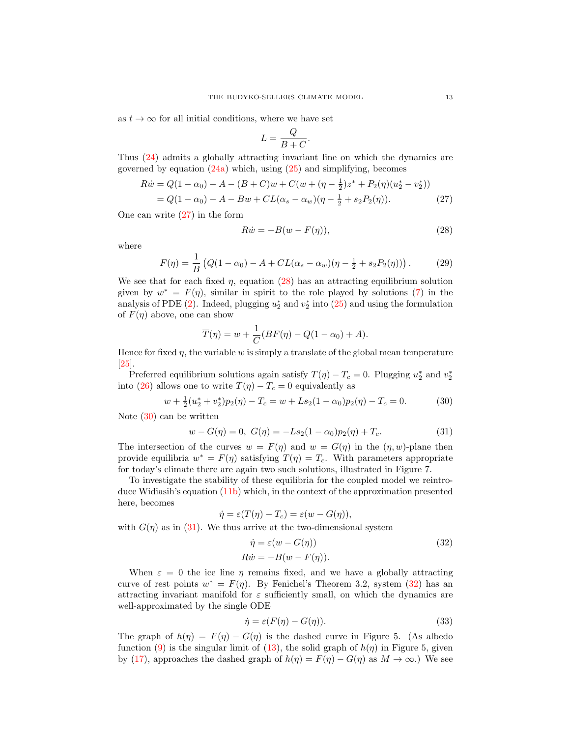as  $t \to \infty$  for all initial conditions, where we have set

$$
L = \frac{Q}{B+C}.
$$

Thus [\(24\)](#page-11-4) admits a globally attracting invariant line on which the dynamics are governed by equation  $(24a)$  which, using  $(25)$  and simplifying, becomes

$$
R\dot{w} = Q(1 - \alpha_0) - A - (B + C)w + C(w + (\eta - \frac{1}{2})z^* + P_2(\eta)(u_2^* - v_2^*))
$$
  
=  $Q(1 - \alpha_0) - A - Bw + CL(\alpha_s - \alpha_w)(\eta - \frac{1}{2} + s_2P_2(\eta))$ . (27)

One can write [\(27\)](#page-11-6) in the form

<span id="page-12-1"></span>
$$
R\dot{w} = -B(w - F(\eta)),\tag{28}
$$

where

<span id="page-12-5"></span>
$$
F(\eta) = \frac{1}{B} \left( Q(1 - \alpha_0) - A + CL(\alpha_s - \alpha_w)(\eta - \frac{1}{2} + s_2 P_2(\eta)) \right). \tag{29}
$$

We see that for each fixed  $\eta$ , equation [\(28\)](#page-12-1) has an attracting equilibrium solution given by  $w^* = F(\eta)$ , similar in spirit to the role played by solutions [\(7\)](#page-4-1) in the analysis of PDE [\(2\)](#page-2-1). Indeed, plugging  $u_2^*$  and  $v_2^*$  into [\(25\)](#page-11-5) and using the formulation of  $F(\eta)$  above, one can show

<span id="page-12-2"></span>
$$
\overline{T}(\eta) = w + \frac{1}{C}(BF(\eta) - Q(1 - \alpha_0) + A).
$$

Hence for fixed  $\eta$ , the variable w is simply a translate of the global mean temperature [\[25\]](#page-29-13).

Preferred equilibrium solutions again satisfy  $T(\eta) - T_c = 0$ . Plugging  $u_2^*$  and  $v_2^*$ into [\(26\)](#page-11-7) allows one to write  $T(\eta) - T_c = 0$  equivalently as

$$
w + \frac{1}{2}(u_2^* + v_2^*)p_2(\eta) - T_c = w + Ls_2(1 - \alpha_0)p_2(\eta) - T_c = 0.
$$
 (30)

Note [\(30\)](#page-12-2) can be written

<span id="page-12-3"></span>
$$
w - G(\eta) = 0, \ G(\eta) = -Ls_2(1 - \alpha_0)p_2(\eta) + T_c.
$$
 (31)

The intersection of the curves  $w = F(\eta)$  and  $w = G(\eta)$  in the  $(\eta, w)$ -plane then provide equilibria  $w^* = F(\eta)$  satisfying  $T(\eta) = T_c$ . With parameters appropriate for today's climate there are again two such solutions, illustrated in Figure 7.

To investigate the stability of these equilibria for the coupled model we reintroduce Widiasih's equation [\(11b\)](#page-7-1) which, in the context of the approximation presented here, becomes

<span id="page-12-4"></span>
$$
\dot{\eta} = \varepsilon (T(\eta) - T_c) = \varepsilon (w - G(\eta)),
$$

with  $G(\eta)$  as in [\(31\)](#page-12-3). We thus arrive at the two-dimensional system

$$
\dot{\eta} = \varepsilon (w - G(\eta))
$$
\n
$$
R\dot{w} = -B(w - F(\eta)).
$$
\n(32)

When  $\varepsilon = 0$  the ice line  $\eta$  remains fixed, and we have a globally attracting curve of rest points  $w^* = F(\eta)$ . By Fenichel's Theorem 3.2, system [\(32\)](#page-12-4) has an attracting invariant manifold for  $\varepsilon$  sufficiently small, on which the dynamics are well-approximated by the single ODE

<span id="page-12-0"></span>
$$
\dot{\eta} = \varepsilon (F(\eta) - G(\eta)).\tag{33}
$$

The graph of  $h(\eta) = F(\eta) - G(\eta)$  is the dashed curve in Figure 5. (As albedo function [\(9\)](#page-5-0) is the singular limit of [\(13\)](#page-7-3), the solid graph of  $h(\eta)$  in Figure 5, given by [\(17\)](#page-8-1), approaches the dashed graph of  $h(\eta) = F(\eta) - G(\eta)$  as  $M \to \infty$ .) We see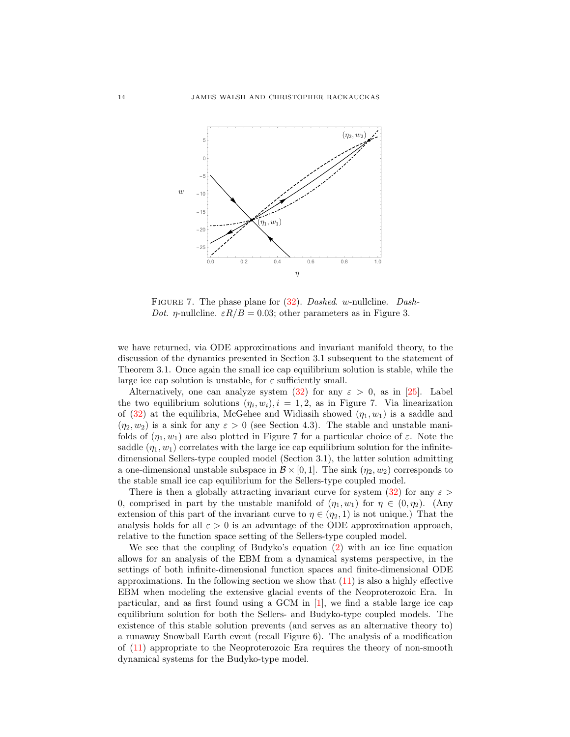

FIGURE 7. The phase plane for  $(32)$ . Dashed. w-nullcline. Dash-Dot. *η*-nullcline.  $\varepsilon R/B = 0.03$ ; other parameters as in Figure 3.

we have returned, via ODE approximations and invariant manifold theory, to the discussion of the dynamics presented in Section 3.1 subsequent to the statement of Theorem 3.1. Once again the small ice cap equilibrium solution is stable, while the large ice cap solution is unstable, for  $\varepsilon$  sufficiently small.

Alternatively, one can analyze system [\(32\)](#page-12-4) for any  $\varepsilon > 0$ , as in [\[25\]](#page-29-13). Label the two equilibrium solutions  $(\eta_i, w_i), i = 1, 2$ , as in Figure 7. Via linearization of [\(32\)](#page-12-4) at the equilibria, McGehee and Widiasih showed  $(\eta_1, w_1)$  is a saddle and  $(\eta_2, w_2)$  is a sink for any  $\varepsilon > 0$  (see Section 4.3). The stable and unstable manifolds of  $(\eta_1, w_1)$  are also plotted in Figure 7 for a particular choice of  $\varepsilon$ . Note the saddle  $(\eta_1, w_1)$  correlates with the large ice cap equilibrium solution for the infinitedimensional Sellers-type coupled model (Section 3.1), the latter solution admitting a one-dimensional unstable subspace in  $\mathcal{B} \times [0, 1]$ . The sink  $(\eta_2, w_2)$  corresponds to the stable small ice cap equilibrium for the Sellers-type coupled model.

There is then a globally attracting invariant curve for system [\(32\)](#page-12-4) for any  $\varepsilon$ 0, comprised in part by the unstable manifold of  $(\eta_1, w_1)$  for  $\eta \in (0, \eta_2)$ . (Any extension of this part of the invariant curve to  $\eta \in (\eta_2, 1)$  is not unique.) That the analysis holds for all  $\varepsilon > 0$  is an advantage of the ODE approximation approach, relative to the function space setting of the Sellers-type coupled model.

We see that the coupling of Budyko's equation [\(2\)](#page-2-1) with an ice line equation allows for an analysis of the EBM from a dynamical systems perspective, in the settings of both infinite-dimensional function spaces and finite-dimensional ODE approximations. In the following section we show that  $(11)$  is also a highly effective EBM when modeling the extensive glacial events of the Neoproterozoic Era. In particular, and as first found using a GCM in  $[1]$ , we find a stable large ice cap equilibrium solution for both the Sellers- and Budyko-type coupled models. The existence of this stable solution prevents (and serves as an alternative theory to) a runaway Snowball Earth event (recall Figure 6). The analysis of a modification of [\(11\)](#page-7-2) appropriate to the Neoproterozoic Era requires the theory of non-smooth dynamical systems for the Budyko-type model.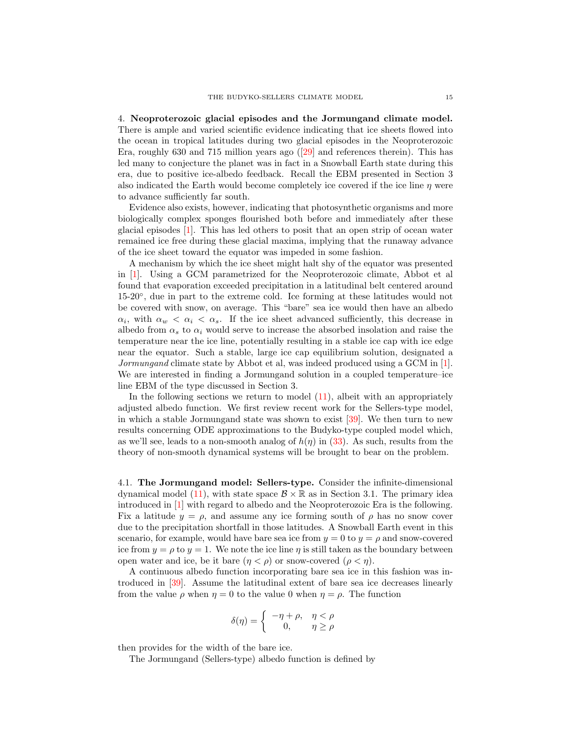4. Neoproterozoic glacial episodes and the Jormungand climate model. There is ample and varied scientific evidence indicating that ice sheets flowed into the ocean in tropical latitudes during two glacial episodes in the Neoproterozoic Era, roughly 630 and 715 million years ago ([\[29\]](#page-29-11) and references therein). This has led many to conjecture the planet was in fact in a Snowball Earth state during this era, due to positive ice-albedo feedback. Recall the EBM presented in Section 3 also indicated the Earth would become completely ice covered if the ice line  $\eta$  were to advance sufficiently far south.

Evidence also exists, however, indicating that photosynthetic organisms and more biologically complex sponges flourished both before and immediately after these glacial episodes [\[1\]](#page-28-12). This has led others to posit that an open strip of ocean water remained ice free during these glacial maxima, implying that the runaway advance of the ice sheet toward the equator was impeded in some fashion.

A mechanism by which the ice sheet might halt shy of the equator was presented in [\[1\]](#page-28-12). Using a GCM parametrized for the Neoproterozoic climate, Abbot et al found that evaporation exceeded precipitation in a latitudinal belt centered around 15-20◦ , due in part to the extreme cold. Ice forming at these latitudes would not be covered with snow, on average. This "bare" sea ice would then have an albedo  $\alpha_i$ , with  $\alpha_w < \alpha_i < \alpha_s$ . If the ice sheet advanced sufficiently, this decrease in albedo from  $\alpha_s$  to  $\alpha_i$  would serve to increase the absorbed insolation and raise the temperature near the ice line, potentially resulting in a stable ice cap with ice edge near the equator. Such a stable, large ice cap equilibrium solution, designated a Jormungand climate state by Abbot et al, was indeed produced using a GCM in [\[1\]](#page-28-12). We are interested in finding a Jormungand solution in a coupled temperature–ice line EBM of the type discussed in Section 3.

In the following sections we return to model [\(11\)](#page-7-2), albeit with an appropriately adjusted albedo function. We first review recent work for the Sellers-type model, in which a stable Jormungand state was shown to exist [\[39\]](#page-29-14). We then turn to new results concerning ODE approximations to the Budyko-type coupled model which, as we'll see, leads to a non-smooth analog of  $h(\eta)$  in [\(33\)](#page-12-0). As such, results from the theory of non-smooth dynamical systems will be brought to bear on the problem.

4.1. The Jormungand model: Sellers-type. Consider the infinite-dimensional dynamical model [\(11\)](#page-7-2), with state space  $\mathcal{B} \times \mathbb{R}$  as in Section 3.1. The primary idea introduced in [\[1\]](#page-28-12) with regard to albedo and the Neoproterozoic Era is the following. Fix a latitude  $y = \rho$ , and assume any ice forming south of  $\rho$  has no snow cover due to the precipitation shortfall in those latitudes. A Snowball Earth event in this scenario, for example, would have bare sea ice from  $y = 0$  to  $y = \rho$  and snow-covered ice from  $y = \rho$  to  $y = 1$ . We note the ice line  $\eta$  is still taken as the boundary between open water and ice, be it bare  $(\eta < \rho)$  or snow-covered  $(\rho < \eta)$ .

A continuous albedo function incorporating bare sea ice in this fashion was introduced in [\[39\]](#page-29-14). Assume the latitudinal extent of bare sea ice decreases linearly from the value  $\rho$  when  $\eta = 0$  to the value 0 when  $\eta = \rho$ . The function

$$
\delta(\eta) = \begin{cases}\n-\eta + \rho, & \eta < \rho \\
0, & \eta \ge \rho\n\end{cases}
$$

then provides for the width of the bare ice.

The Jormungand (Sellers-type) albedo function is defined by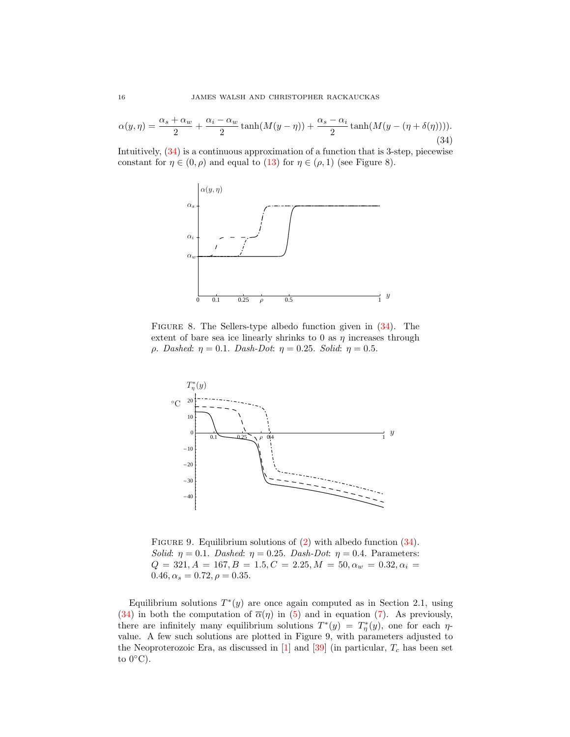<span id="page-15-0"></span>
$$
\alpha(y,\eta) = \frac{\alpha_s + \alpha_w}{2} + \frac{\alpha_i - \alpha_w}{2} \tanh(M(y-\eta)) + \frac{\alpha_s - \alpha_i}{2} \tanh(M(y-(\eta+\delta(\eta))))
$$
\n(34)

Intuitively, [\(34\)](#page-15-0) is a continuous approximation of a function that is 3-step, piecewise constant for  $\eta \in (0, \rho)$  and equal to [\(13\)](#page-7-3) for  $\eta \in (\rho, 1)$  (see Figure 8).



FIGURE 8. The Sellers-type albedo function given in  $(34)$ . The extent of bare sea ice linearly shrinks to 0 as  $\eta$  increases through ρ. Dashed: η = 0.1. Dash-Dot: η = 0.25. Solid: η = 0.5.



FIGURE 9. Equilibrium solutions of [\(2\)](#page-2-1) with albedo function [\(34\)](#page-15-0). Solid:  $\eta = 0.1$ . Dashed:  $\eta = 0.25$ . Dash-Dot:  $\eta = 0.4$ . Parameters:  $Q = 321, A = 167, B = 1.5, C = 2.25, M = 50, \alpha_w = 0.32, \alpha_i =$  $0.46, \alpha_s = 0.72, \rho = 0.35.$ 

Equilibrium solutions  $T^*(y)$  are once again computed as in Section 2.1, using [\(34\)](#page-15-0) in both the computation of  $\overline{\alpha}(\eta)$  in [\(5\)](#page-4-3) and in equation [\(7\)](#page-4-1). As previously, there are infinitely many equilibrium solutions  $T^*(y) = T^*_{\eta}(y)$ , one for each  $\eta$ value. A few such solutions are plotted in Figure 9, with parameters adjusted to the Neoproterozoic Era, as discussed in  $[1]$  and  $[39]$  (in particular,  $T_c$  has been set to  $0^{\circ}$ C).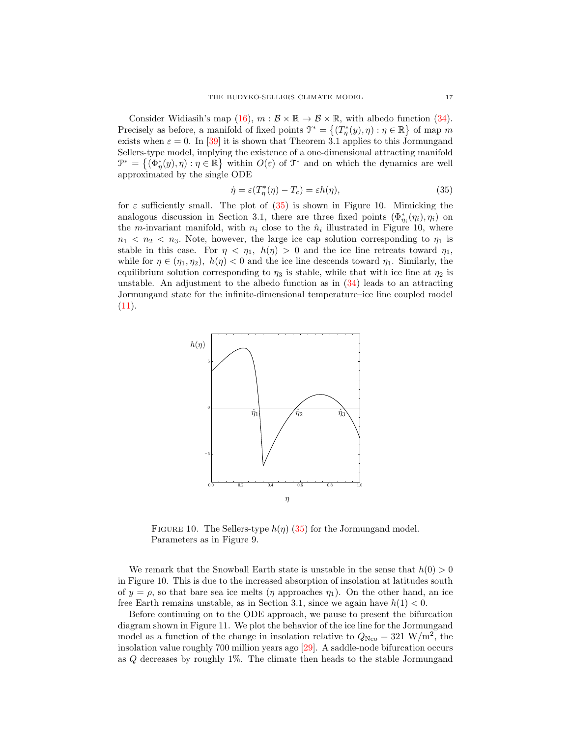Consider Widiasih's map [\(16\)](#page-8-0),  $m : \mathcal{B} \times \mathbb{R} \to \mathcal{B} \times \mathbb{R}$ , with albedo function [\(34\)](#page-15-0). Precisely as before, a manifold of fixed points  $\mathcal{T}^* = \{(T^*_\eta(y), \eta) : \eta \in \mathbb{R}\}$  of map m exists when  $\varepsilon = 0$ . In [\[39\]](#page-29-14) it is shown that Theorem 3.1 applies to this Jormungand Sellers-type model, implying the existence of a one-dimensional attracting manifold  $\mathcal{P}^* = \{(\Phi^*_{\eta}(y), \eta) : \eta \in \mathbb{R}\}\$  within  $O(\varepsilon)$  of  $\mathcal{T}^*$  and on which the dynamics are well approximated by the single ODE

<span id="page-16-0"></span>
$$
\dot{\eta} = \varepsilon (T_{\eta}^*(\eta) - T_c) = \varepsilon h(\eta), \tag{35}
$$

for  $\varepsilon$  sufficiently small. The plot of [\(35\)](#page-16-0) is shown in Figure 10. Mimicking the analogous discussion in Section 3.1, there are three fixed points  $(\Phi_{\eta_i}^*(\eta_i), \eta_i)$  on the *m*-invariant manifold, with  $n_i$  close to the  $\hat{n}_i$  illustrated in Figure 10, where  $n_1 < n_2 < n_3$ . Note, however, the large ice cap solution corresponding to  $\eta_1$  is stable in this case. For  $\eta < \eta_1$ ,  $h(\eta) > 0$  and the ice line retreats toward  $\eta_1$ , while for  $\eta \in (\eta_1, \eta_2)$ ,  $h(\eta) < 0$  and the ice line descends toward  $\eta_1$ . Similarly, the equilibrium solution corresponding to  $\eta_3$  is stable, while that with ice line at  $\eta_2$  is unstable. An adjustment to the albedo function as in [\(34\)](#page-15-0) leads to an attracting Jormungand state for the infinite-dimensional temperature–ice line coupled model  $(11).$  $(11).$ 



FIGURE 10. The Sellers-type  $h(\eta)$  [\(35\)](#page-16-0) for the Jormungand model. Parameters as in Figure 9.

We remark that the Snowball Earth state is unstable in the sense that  $h(0) > 0$ in Figure 10. This is due to the increased absorption of insolation at latitudes south of  $y = \rho$ , so that bare sea ice melts ( $\eta$  approaches  $\eta_1$ ). On the other hand, an ice free Earth remains unstable, as in Section 3.1, since we again have  $h(1) < 0$ .

Before continuing on to the ODE approach, we pause to present the bifurcation diagram shown in Figure 11. We plot the behavior of the ice line for the Jormungand model as a function of the change in insolation relative to  $Q_{\text{Neo}} = 321 \text{ W/m}^2$ , the insolation value roughly 700 million years ago [\[29\]](#page-29-11). A saddle-node bifurcation occurs as Q decreases by roughly 1%. The climate then heads to the stable Jormungand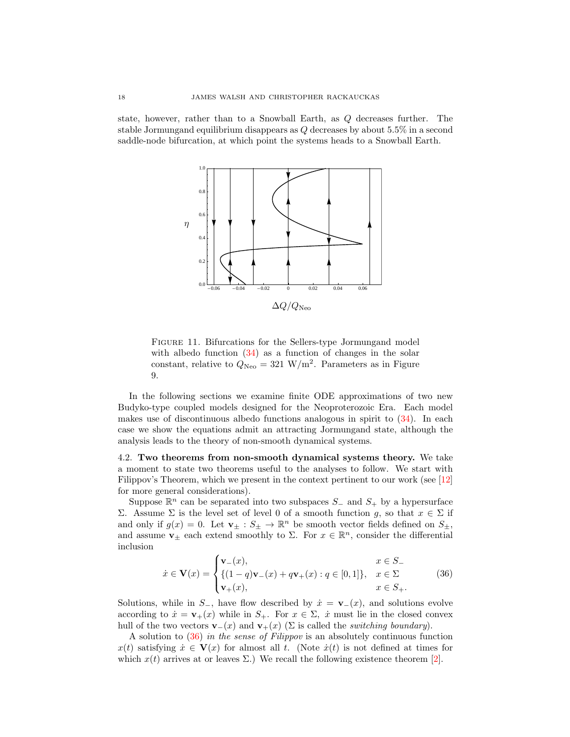state, however, rather than to a Snowball Earth, as Q decreases further. The stable Jormungand equilibrium disappears as Q decreases by about 5.5% in a second saddle-node bifurcation, at which point the systems heads to a Snowball Earth.



Figure 11. Bifurcations for the Sellers-type Jormungand model with albedo function  $(34)$  as a function of changes in the solar constant, relative to  $Q_{\text{Neo}} = 321 \text{ W/m}^2$ . Parameters as in Figure 9.

In the following sections we examine finite ODE approximations of two new Budyko-type coupled models designed for the Neoproterozoic Era. Each model makes use of discontinuous albedo functions analogous in spirit to [\(34\)](#page-15-0). In each case we show the equations admit an attracting Jormungand state, although the analysis leads to the theory of non-smooth dynamical systems.

4.2. Two theorems from non-smooth dynamical systems theory. We take a moment to state two theorems useful to the analyses to follow. We start with Filippov's Theorem, which we present in the context pertinent to our work (see [\[12\]](#page-28-21) for more general considerations).

Suppose  $\mathbb{R}^n$  can be separated into two subspaces  $S_-\,$  and  $S_+$  by a hypersurface Σ. Assume Σ is the level set of level 0 of a smooth function g, so that  $x \in Σ$  if and only if  $g(x) = 0$ . Let  $\mathbf{v}_{\pm} : S_{\pm} \to \mathbb{R}^n$  be smooth vector fields defined on  $S_{\pm}$ , and assume  $\mathbf{v}_{\pm}$  each extend smoothly to  $\Sigma$ . For  $x \in \mathbb{R}^n$ , consider the differential inclusion

<span id="page-17-0"></span>
$$
\dot{x} \in \mathbf{V}(x) = \begin{cases} \mathbf{v}_{-}(x), & x \in S_{-} \\ \{(1-q)\mathbf{v}_{-}(x) + q\mathbf{v}_{+}(x) : q \in [0,1]\}, & x \in \Sigma \\ \mathbf{v}_{+}(x), & x \in S_{+} . \end{cases}
$$
(36)

Solutions, while in  $S_$ , have flow described by  $\dot{x} = \mathbf{v}_-(x)$ , and solutions evolve according to  $\dot{x} = \mathbf{v}_+(x)$  while in  $S_+$ . For  $x \in \Sigma$ ,  $\dot{x}$  must lie in the closed convex hull of the two vectors  $\mathbf{v}_-(x)$  and  $\mathbf{v}_+(x)$  ( $\Sigma$  is called the *switching boundary*).

A solution to [\(36\)](#page-17-0) in the sense of Filippov is an absolutely continuous function  $x(t)$  satisfying  $\dot{x} \in V(x)$  for almost all t. (Note  $\dot{x}(t)$  is not defined at times for which  $x(t)$  arrives at or leaves  $\Sigma$ .) We recall the following existence theorem [\[2\]](#page-28-22).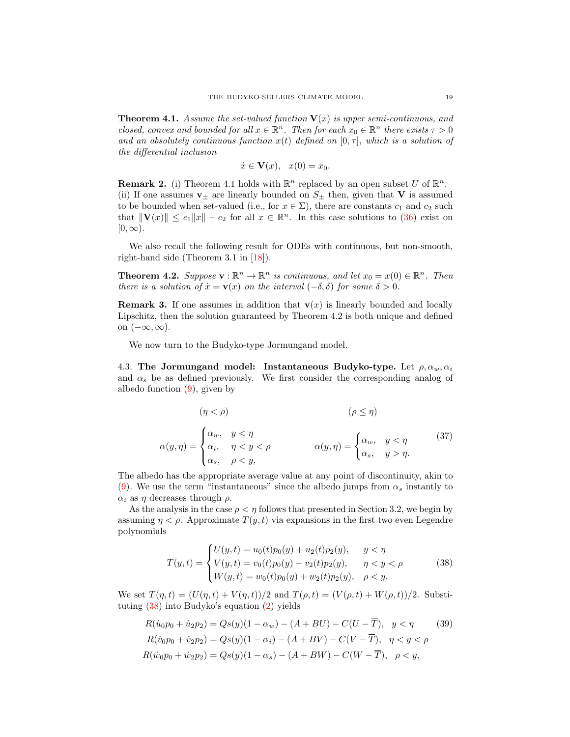**Theorem 4.1.** Assume the set-valued function  $V(x)$  is upper semi-continuous, and closed, convex and bounded for all  $x \in \mathbb{R}^n$ . Then for each  $x_0 \in \mathbb{R}^n$  there exists  $\tau > 0$ and an absolutely continuous function  $x(t)$  defined on  $[0, \tau]$ , which is a solution of the differential inclusion

<span id="page-18-2"></span>
$$
\dot{x} \in \mathbf{V}(x), \quad x(0) = x_0.
$$

**Remark 2.** (i) Theorem 4.1 holds with  $\mathbb{R}^n$  replaced by an open subset U of  $\mathbb{R}^n$ . (ii) If one assumes  $v_{\pm}$  are linearly bounded on  $S_{\pm}$  then, given that V is assumed to be bounded when set-valued (i.e., for  $x \in \Sigma$ ), there are constants  $c_1$  and  $c_2$  such that  $\|\mathbf{V}(x)\| \le c_1 \|x\| + c_2$  for all  $x \in \mathbb{R}^n$ . In this case solutions to [\(36\)](#page-17-0) exist on  $[0, \infty)$ .

We also recall the following result for ODEs with continuous, but non-smooth, right-hand side (Theorem 3.1 in [\[18\]](#page-28-23)).

**Theorem 4.2.** Suppose  $\mathbf{v} : \mathbb{R}^n \to \mathbb{R}^n$  is continuous, and let  $x_0 = x(0) \in \mathbb{R}^n$ . Then there is a solution of  $\dot{x} = \mathbf{v}(x)$  on the interval  $(-\delta, \delta)$  for some  $\delta > 0$ .

**Remark 3.** If one assumes in addition that  $\mathbf{v}(x)$  is linearly bounded and locally Lipschitz, then the solution guaranteed by Theorem 4.2 is both unique and defined on  $(-\infty, \infty)$ .

We now turn to the Budyko-type Jormungand model.

4.3. The Jormungand model: Instantaneous Budyko-type. Let  $\rho, \alpha_w, \alpha_i$ and  $\alpha_s$  be as defined previously. We first consider the corresponding analog of albedo function  $(9)$ , given by

$$
(\eta < \rho) \qquad (\rho \leq \eta)
$$
\n
$$
\alpha(y,\eta) = \begin{cases} \alpha_w, & y < \eta \\ \alpha_i, & \eta < y < \rho \\ \alpha_s, & \rho < y, \end{cases} \qquad \alpha(y,\eta) = \begin{cases} \alpha_w, & y < \eta \\ \alpha_s, & y > \eta. \end{cases} \qquad (37)
$$

The albedo has the appropriate average value at any point of discontinuity, akin to [\(9\)](#page-5-0). We use the term "instantaneous" since the albedo jumps from  $\alpha_s$  instantly to  $\alpha_i$  as  $\eta$  decreases through  $\rho$ .

As the analysis in the case  $\rho < \eta$  follows that presented in Section 3.2, we begin by assuming  $\eta < \rho$ . Approximate  $T(y, t)$  via expansions in the first two even Legendre polynomials

<span id="page-18-1"></span><span id="page-18-0"></span>
$$
T(y,t) = \begin{cases} U(y,t) = u_0(t)p_0(y) + u_2(t)p_2(y), & y < \eta \\ V(y,t) = v_0(t)p_0(y) + v_2(t)p_2(y), & \eta < y < \rho \\ W(y,t) = w_0(t)p_0(y) + w_2(t)p_2(y), & \rho < y. \end{cases}
$$
(38)

We set  $T(\eta, t) = (U(\eta, t) + V(\eta, t))/2$  and  $T(\rho, t) = (V(\rho, t) + W(\rho, t))/2$ . Substituting [\(38\)](#page-18-0) into Budyko's equation [\(2\)](#page-2-1) yields

$$
R(\dot{u}_0 p_0 + \dot{u}_2 p_2) = Qs(y)(1 - \alpha_w) - (A + BU) - C(U - T), \quad y < \eta \tag{39}
$$
\n
$$
R(\dot{v}_0 p_0 + \dot{v}_2 p_2) = Qs(y)(1 - \alpha_i) - (A + BV) - C(V - \overline{T}), \quad \eta < y < \rho
$$
\n
$$
R(\dot{w}_0 p_0 + \dot{w}_2 p_2) = Qs(y)(1 - \alpha_s) - (A + BW) - C(W - \overline{T}), \quad \rho < y,
$$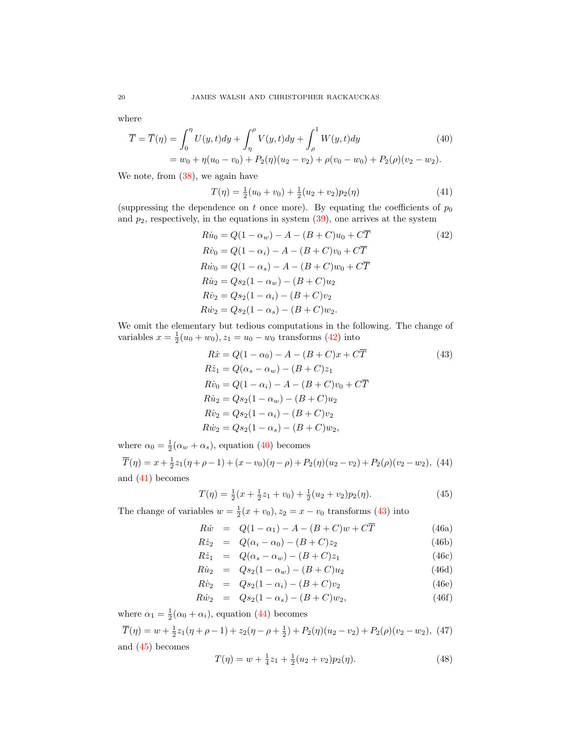where

$$
\overline{T} = \overline{T}(\eta) = \int_0^{\eta} U(y, t) dy + \int_{\eta}^{\rho} V(y, t) dy + \int_{\rho}^1 W(y, t) dy
$$
\n
$$
= w_0 + \eta (u_0 - v_0) + P_2(\eta) (u_2 - v_2) + \rho (v_0 - w_0) + P_2(\rho) (v_2 - w_2).
$$
\n(40)

We note, from [\(38\)](#page-18-0), we again have

<span id="page-19-2"></span><span id="page-19-1"></span><span id="page-19-0"></span>
$$
T(\eta) = \frac{1}{2}(u_0 + v_0) + \frac{1}{2}(u_2 + v_2)p_2(\eta)
$$
\n(41)

(suppressing the dependence on t once more). By equating the coefficients of  $p_0$ and  $p_2$ , respectively, in the equations in system  $(39)$ , one arrives at the system

$$
R\dot{u}_0 = Q(1 - \alpha_w) - A - (B + C)u_0 + C\overline{T}
$$
\n
$$
R\dot{v}_0 = Q(1 - \alpha_i) - A - (B + C)v_0 + C\overline{T}
$$
\n
$$
R\dot{w}_0 = Q(1 - \alpha_s) - A - (B + C)w_0 + C\overline{T}
$$
\n
$$
R\dot{u}_2 = Qs_2(1 - \alpha_w) - (B + C)u_2
$$
\n
$$
R\dot{v}_2 = Qs_2(1 - \alpha_i) - (B + C)v_2
$$
\n
$$
R\dot{w}_2 = Qs_2(1 - \alpha_s) - (B + C)w_2.
$$
\n(42)

We omit the elementary but tedious computations in the following. The change of variables  $x = \frac{1}{2}(u_0 + w_0), z_1 = u_0 - w_0$  transforms [\(42\)](#page-19-0) into

<span id="page-19-3"></span>
$$
R\dot{x} = Q(1 - \alpha_0) - A - (B + C)x + C\overline{T}
$$
\n(43)  
\n
$$
R\dot{z}_1 = Q(\alpha_s - \alpha_w) - (B + C)z_1
$$
\n
$$
R\dot{v}_0 = Q(1 - \alpha_i) - A - (B + C)v_0 + C\overline{T}
$$
\n
$$
R\dot{u}_2 = Qs_2(1 - \alpha_w) - (B + C)u_2
$$
\n
$$
R\dot{v}_2 = Qs_2(1 - \alpha_i) - (B + C)v_2
$$
\n
$$
R\dot{w}_2 = Qs_2(1 - \alpha_s) - (B + C)w_2,
$$
\n(43)

where  $\alpha_0 = \frac{1}{2}(\alpha_w + \alpha_s)$ , equation [\(40\)](#page-19-1) becomes

<span id="page-19-4"></span> $\overline{T}(\eta) = x + \frac{1}{2}z_1(\eta + \rho - 1) + (x - v_0)(\eta - \rho) + P_2(\eta)(u_2 - v_2) + P_2(\rho)(v_2 - w_2),$  (44) and [\(41\)](#page-19-2) becomes

<span id="page-19-6"></span><span id="page-19-5"></span>
$$
T(\eta) = \frac{1}{2}(x + \frac{1}{2}z_1 + v_0) + \frac{1}{2}(u_2 + v_2)p_2(\eta). \tag{45}
$$

The change of variables  $w = \frac{1}{2}(x + v_0)$ ,  $z_2 = x - v_0$  transforms [\(43\)](#page-19-3) into

$$
R\dot{w} = Q(1 - \alpha_1) - A - (B + C)w + C\overline{T}
$$
 (46a)

<span id="page-19-7"></span>
$$
R\dot{z}_2 = Q(\alpha_i - \alpha_0) - (B + C)z_2 \tag{46b}
$$

$$
R\dot{z}_1 = Q(\alpha_s - \alpha_w) - (B + C)z_1 \tag{46c}
$$

$$
R\dot{z}_1 = Q(\alpha_s - \alpha_w) - (B + C)z_1
$$
\n(46c)  
\n
$$
R\dot{u}_2 = Qs_2(1 - \alpha_w) - (B + C)u_2
$$
\n(46d)

$$
R\dot{v}_2 = Qs_2(1-\alpha_i) - (B+C)v_2
$$
 (46e)

$$
R\dot{w}_2 = Qs_2(1 - \alpha_s) - (B + C)w_2, \tag{46f}
$$

where  $\alpha_1 = \frac{1}{2}(\alpha_0 + \alpha_i)$ , equation [\(44\)](#page-19-4) becomes

<span id="page-19-8"></span>
$$
\overline{T}(\eta) = w + \frac{1}{2}z_1(\eta + \rho - 1) + z_2(\eta - \rho + \frac{1}{2}) + P_2(\eta)(u_2 - v_2) + P_2(\rho)(v_2 - w_2), \tag{47}
$$

and [\(45\)](#page-19-5) becomes

<span id="page-19-9"></span>
$$
T(\eta) = w + \frac{1}{4}z_1 + \frac{1}{2}(u_2 + v_2)p_2(\eta). \tag{48}
$$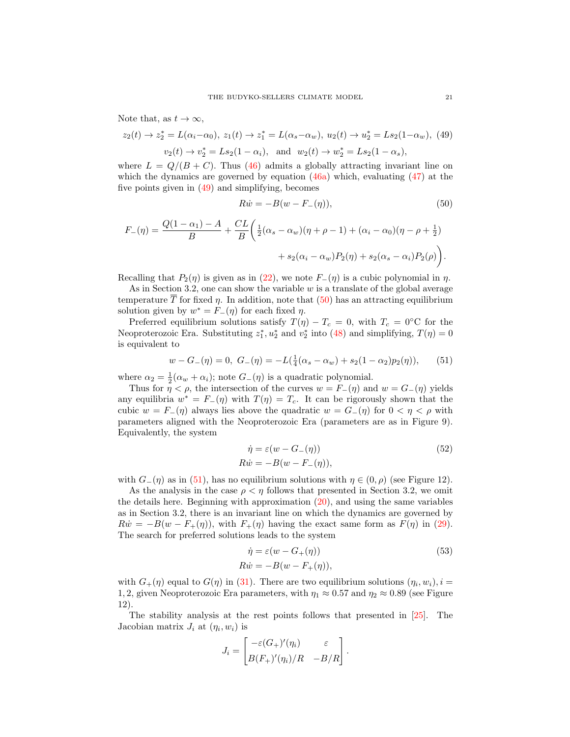Note that, as  $t \to \infty$ ,

<span id="page-20-1"></span><span id="page-20-0"></span>
$$
z_2(t) \to z_2^* = L(\alpha_i - \alpha_0), \ z_1(t) \to z_1^* = L(\alpha_s - \alpha_w), \ u_2(t) \to u_2^* = Ls_2(1 - \alpha_w), \ (49)
$$

$$
v_2(t) \to v_2^* = Ls_2(1 - \alpha_i), \text{ and } w_2(t) \to w_2^* = Ls_2(1 - \alpha_s),
$$

where  $L = Q/(B + C)$ . Thus [\(46\)](#page-19-6) admits a globally attracting invariant line on which the dynamics are governed by equation  $(46a)$  which, evaluating  $(47)$  at the five points given in [\(49\)](#page-20-0) and simplifying, becomes

$$
R\dot{w} = -B(w - F_{-}(\eta)),
$$
\n(50)

$$
F_{-}(\eta) = \frac{Q(1 - \alpha_{1}) - A}{B} + \frac{CL}{B} \left( \frac{1}{2} (\alpha_{s} - \alpha_{w}) (\eta + \rho - 1) + (\alpha_{i} - \alpha_{0}) (\eta - \rho + \frac{1}{2}) + s_{2} (\alpha_{i} - \alpha_{w}) P_{2}(\eta) + s_{2} (\alpha_{s} - \alpha_{i}) P_{2}(\rho) \right).
$$

Recalling that  $P_2(\eta)$  is given as in [\(22\)](#page-11-1), we note  $F_-(\eta)$  is a cubic polynomial in  $\eta$ .

As in Section 3.2, one can show the variable  $w$  is a translate of the global average temperature  $\overline{T}$  for fixed  $\eta$ . In addition, note that [\(50\)](#page-20-1) has an attracting equilibrium solution given by  $w^* = F_-(\eta)$  for each fixed  $\eta$ .

Preferred equilibrium solutions satisfy  $T(\eta) - T_c = 0$ , with  $T_c = 0$ °C for the Neoproterozoic Era. Substituting  $z_1^*, u_2^*$  and  $v_2^*$  into [\(48\)](#page-19-9) and simplifying,  $T(\eta) = 0$ is equivalent to

$$
w - G_{-}(\eta) = 0, \ G_{-}(\eta) = -L(\frac{1}{4}(\alpha_s - \alpha_w) + s_2(1 - \alpha_2)p_2(\eta)), \tag{51}
$$

<span id="page-20-2"></span>where  $\alpha_2 = \frac{1}{2}(\alpha_w + \alpha_i)$ ; note  $G_-(\eta)$  is a quadratic polynomial.

Thus for  $\eta < \rho$ , the intersection of the curves  $w = F_-(\eta)$  and  $w = G_-(\eta)$  yields any equilibria  $w^* = F_-(\eta)$  with  $T(\eta) = T_c$ . It can be rigorously shown that the cubic  $w = F_-(\eta)$  always lies above the quadratic  $w = G_-(\eta)$  for  $0 < \eta < \rho$  with parameters aligned with the Neoproterozoic Era (parameters are as in Figure 9). Equivalently, the system

<span id="page-20-4"></span>
$$
\dot{\eta} = \varepsilon (w - G_{-}(\eta))
$$
\n
$$
R\dot{w} = -B(w - F_{-}(\eta)),
$$
\n(52)

with  $G_-(\eta)$  as in [\(51\)](#page-20-2), has no equilibrium solutions with  $\eta \in (0, \rho)$  (see Figure 12).

As the analysis in the case  $\rho < \eta$  follows that presented in Section 3.2, we omit the details here. Beginning with approximation [\(20\)](#page-10-2), and using the same variables as in Section 3.2, there is an invariant line on which the dynamics are governed by  $R\dot{w} = -B(w - F_+(\eta))$ , with  $F_+(\eta)$  having the exact same form as  $F(\eta)$  in [\(29\)](#page-12-5). The search for preferred solutions leads to the system

<span id="page-20-5"></span>
$$
\dot{\eta} = \varepsilon (w - G_+(\eta))
$$
\n
$$
R\dot{w} = -B(w - F_+(\eta)),
$$
\n(53)

with  $G_{+}(\eta)$  equal to  $G(\eta)$  in [\(31\)](#page-12-3). There are two equilibrium solutions  $(\eta_i, w_i)$ ,  $i =$ 1, 2, given Neoproterozoic Era parameters, with  $\eta_1 \approx 0.57$  and  $\eta_2 \approx 0.89$  (see Figure 12).

The stability analysis at the rest points follows that presented in [\[25\]](#page-29-13). The Jacobian matrix  $J_i$  at  $(\eta_i, w_i)$  is

<span id="page-20-3"></span>
$$
J_i = \begin{bmatrix} -\varepsilon (G_+)'(\eta_i) & \varepsilon \\ B(F_+)'(\eta_i)/R & -B/R \end{bmatrix}.
$$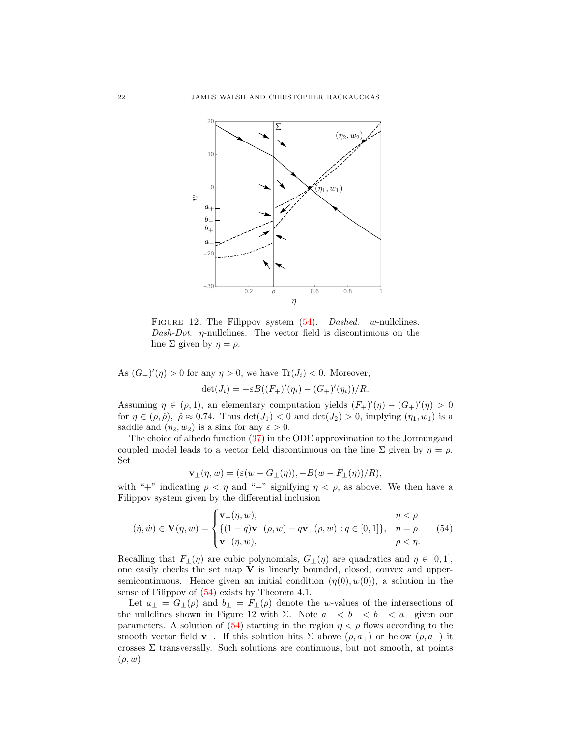

FIGURE 12. The Filippov system  $(54)$ . Dashed. w-nullclines. Dash-Dot.  $\eta$ -nullclines. The vector field is discontinuous on the line  $\Sigma$  given by  $\eta = \rho$ .

As  $(G_{+})'(\eta) > 0$  for any  $\eta > 0$ , we have  $\text{Tr}(J_i) < 0$ . Moreover,  $\det(J_i) = -\varepsilon B((F_+)'(\eta_i) - (G_+)'(\eta_i))/R.$ 

Assuming  $\eta \in (\rho, 1)$ , an elementary computation yields  $(F_{+})'(\eta) - (G_{+})'(\eta) > 0$ for  $\eta \in (\rho, \hat{\rho}), \ \hat{\rho} \approx 0.74$ . Thus  $\det(J_1) < 0$  and  $\det(J_2) > 0$ , implying  $(\eta_1, w_1)$  is a saddle and  $(\eta_2, w_2)$  is a sink for any  $\varepsilon > 0$ .

The choice of albedo function [\(37\)](#page-18-2) in the ODE approximation to the Jormungand coupled model leads to a vector field discontinuous on the line  $\Sigma$  given by  $\eta = \rho$ . Set

$$
\mathbf{v}_{\pm}(\eta, w) = (\varepsilon(w - G_{\pm}(\eta)), -B(w - F_{\pm}(\eta))/R),
$$

with "+" indicating  $\rho < \eta$  and "-" signifying  $\eta < \rho$ , as above. We then have a Filippov system given by the differential inclusion

$$
(\dot{\eta}, \dot{w}) \in \mathbf{V}(\eta, w) = \begin{cases} \mathbf{v}_{-}(\eta, w), & \eta < \rho \\ \{ (1 - q)\mathbf{v}_{-}(\rho, w) + q\mathbf{v}_{+}(\rho, w) : q \in [0, 1] \}, & \eta = \rho \\ \mathbf{v}_{+}(\eta, w), & \rho < \eta. \end{cases}
$$
(54)

Recalling that  $F_{\pm}(\eta)$  are cubic polynomials,  $G_{\pm}(\eta)$  are quadratics and  $\eta \in [0,1]$ , one easily checks the set map  $V$  is linearly bounded, closed, convex and uppersemicontinuous. Hence given an initial condition  $(\eta(0), w(0))$ , a solution in the sense of Filippov of [\(54\)](#page-20-3) exists by Theorem 4.1.

Let  $a_{\pm} = G_{\pm}(\rho)$  and  $b_{\pm} = F_{\pm}(\rho)$  denote the w-values of the intersections of the nullclines shown in Figure 12 with  $\Sigma$ . Note  $a_- < b_+ < b_- < a_+$  given our parameters. A solution of [\(54\)](#page-20-3) starting in the region  $\eta < \rho$  flows according to the smooth vector field **v**<sub>-</sub>. If this solution hits  $\Sigma$  above  $(\rho, a_+)$  or below  $(\rho, a_-)$  it crosses  $\Sigma$  transversally. Such solutions are continuous, but not smooth, at points  $(\rho, w)$ .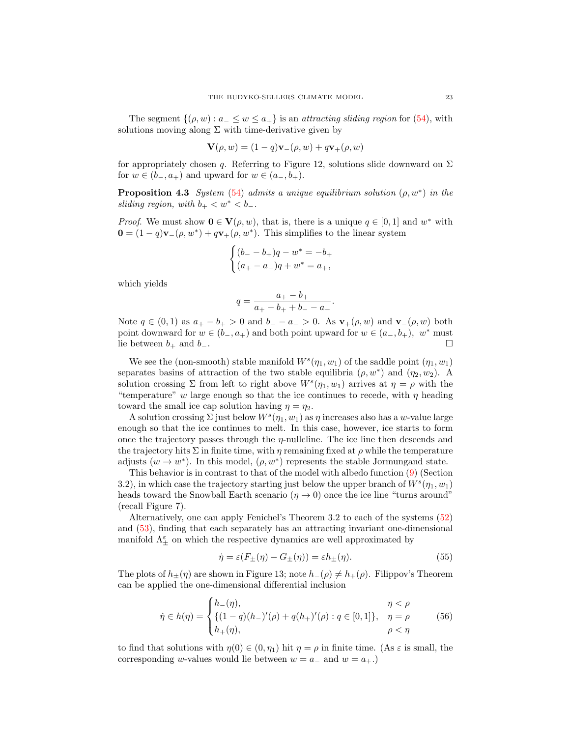The segment  $\{(\rho, w) : a_{-} \leq w \leq a_{+}\}\$ is an *attracting sliding region* for [\(54\)](#page-20-3), with solutions moving along  $\Sigma$  with time-derivative given by

<span id="page-22-1"></span>
$$
\mathbf{V}(\rho, w) = (1 - q)\mathbf{v}_-(\rho, w) + q\mathbf{v}_+(\rho, w)
$$

for appropriately chosen q. Referring to Figure 12, solutions slide downward on  $\Sigma$ for  $w \in (b_-, a_+)$  and upward for  $w \in (a_-, b_+).$ 

**Proposition 4.3** System [\(54\)](#page-20-3) admits a unique equilibrium solution  $(\rho, w^*)$  in the sliding region, with  $b_+ < w^* < b_-$ .

*Proof.* We must show  $\mathbf{0} \in \mathbf{V}(\rho, w)$ , that is, there is a unique  $q \in [0, 1]$  and  $w^*$  with  $\mathbf{0} = (1 - q)\mathbf{v}_-(\rho, w^*) + q\mathbf{v}_+(\rho, w^*)$ . This simplifies to the linear system

$$
\begin{cases} (b_{-} - b_{+})q - w^{*} = -b_{+} \\ (a_{+} - a_{-})q + w^{*} = a_{+}, \end{cases}
$$

which yields

$$
q = \frac{a_+ - b_+}{a_+ - b_+ + b_- - a_-}.
$$

Note  $q \in (0,1)$  as  $a_+ - b_+ > 0$  and  $b_- - a_- > 0$ . As  $\mathbf{v}_+(\rho, w)$  and  $\mathbf{v}_-(\rho, w)$  both point downward for  $w \in (b_-, a_+)$  and both point upward for  $w \in (a_-, b_+), w^*$  must lie between  $b_+$  and  $b_-$ .

We see the (non-smooth) stable manifold  $W^s(\eta_1, w_1)$  of the saddle point  $(\eta_1, w_1)$ separates basins of attraction of the two stable equilibria  $(\rho, w^*)$  and  $(\eta_2, w_2)$ . A solution crossing  $\Sigma$  from left to right above  $W^s(\eta_1, w_1)$  arrives at  $\eta = \rho$  with the "temperature" w large enough so that the ice continues to recede, with  $\eta$  heading toward the small ice cap solution having  $\eta = \eta_2$ .

A solution crossing  $\Sigma$  just below  $W^s(\eta_1, w_1)$  as  $\eta$  increases also has a w-value large enough so that the ice continues to melt. In this case, however, ice starts to form once the trajectory passes through the  $\eta$ -nullcline. The ice line then descends and the trajectory hits  $\Sigma$  in finite time, with  $\eta$  remaining fixed at  $\rho$  while the temperature adjusts  $(w \to w^*)$ . In this model,  $(\rho, w^*)$  represents the stable Jormungand state.

This behavior is in contrast to that of the model with albedo function [\(9\)](#page-5-0) (Section 3.2), in which case the trajectory starting just below the upper branch of  $W^s(\eta_1, w_1)$ heads toward the Snowball Earth scenario ( $\eta \rightarrow 0$ ) once the ice line "turns around" (recall Figure 7).

Alternatively, one can apply Fenichel's Theorem 3.2 to each of the systems [\(52\)](#page-20-4) and [\(53\)](#page-20-5), finding that each separately has an attracting invariant one-dimensional manifold  $\Lambda^{\varepsilon}_{\pm}$  on which the respective dynamics are well approximated by

$$
\dot{\eta} = \varepsilon (F_{\pm}(\eta) - G_{\pm}(\eta)) = \varepsilon h_{\pm}(\eta). \tag{55}
$$

The plots of  $h_{\pm}(\eta)$  are shown in Figure 13; note  $h_{-}(\rho) \neq h_{+}(\rho)$ . Filippov's Theorem can be applied the one-dimensional differential inclusion

<span id="page-22-0"></span>
$$
\dot{\eta} \in h(\eta) = \begin{cases} h_{-}(\eta), & \eta < \rho \\ \{(1 - q)(h_{-})'(\rho) + q(h_{+})'(\rho) : q \in [0, 1]\}, & \eta = \rho \\ h_{+}(\eta), & \rho < \eta \end{cases}
$$
(56)

to find that solutions with  $\eta(0) \in (0, \eta_1)$  hit  $\eta = \rho$  in finite time. (As  $\varepsilon$  is small, the corresponding w-values would lie between  $w = a_-\text{ and } w = a_+.$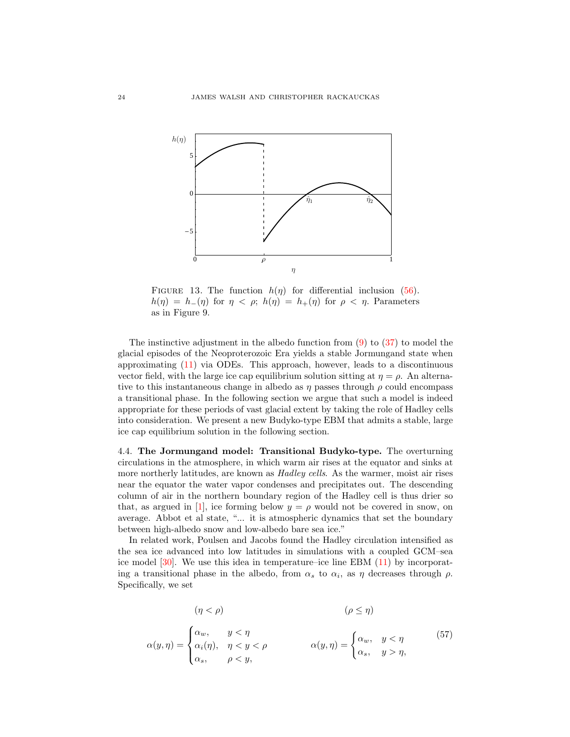

FIGURE 13. The function  $h(\eta)$  for differential inclusion [\(56\)](#page-22-0).  $h(\eta) = h_-(\eta)$  for  $\eta < \rho$ ;  $h(\eta) = h_+(\eta)$  for  $\rho < \eta$ . Parameters as in Figure 9.

The instinctive adjustment in the albedo function from  $(9)$  to  $(37)$  to model the glacial episodes of the Neoproterozoic Era yields a stable Jormungand state when approximating [\(11\)](#page-7-2) via ODEs. This approach, however, leads to a discontinuous vector field, with the large ice cap equilibrium solution sitting at  $\eta = \rho$ . An alternative to this instantaneous change in albedo as  $\eta$  passes through  $\rho$  could encompass a transitional phase. In the following section we argue that such a model is indeed appropriate for these periods of vast glacial extent by taking the role of Hadley cells into consideration. We present a new Budyko-type EBM that admits a stable, large ice cap equilibrium solution in the following section.

4.4. The Jormungand model: Transitional Budyko-type. The overturning circulations in the atmosphere, in which warm air rises at the equator and sinks at more northerly latitudes, are known as *Hadley cells*. As the warmer, moist air rises near the equator the water vapor condenses and precipitates out. The descending column of air in the northern boundary region of the Hadley cell is thus drier so that, as argued in [\[1\]](#page-28-12), ice forming below  $y = \rho$  would not be covered in snow, on average. Abbot et al state, "... it is atmospheric dynamics that set the boundary between high-albedo snow and low-albedo bare sea ice."

In related work, Poulsen and Jacobs found the Hadley circulation intensified as the sea ice advanced into low latitudes in simulations with a coupled GCM–sea ice model [\[30\]](#page-29-15). We use this idea in temperature–ice line EBM [\(11\)](#page-7-2) by incorporating a transitional phase in the albedo, from  $\alpha_s$  to  $\alpha_i$ , as  $\eta$  decreases through  $\rho$ . Specifically, we set

<span id="page-23-0"></span>
$$
(\eta < \rho) \qquad (\rho \leq \eta) \n\alpha(y,\eta) = \begin{cases} \alpha_w, & y < \eta \\ \alpha_i(\eta), & \eta < y < \rho \\ \alpha_s, & \rho < y, \end{cases} \qquad \alpha(y,\eta) = \begin{cases} \alpha_w, & y < \eta \\ \alpha_s, & y > \eta, \end{cases} \qquad (57)
$$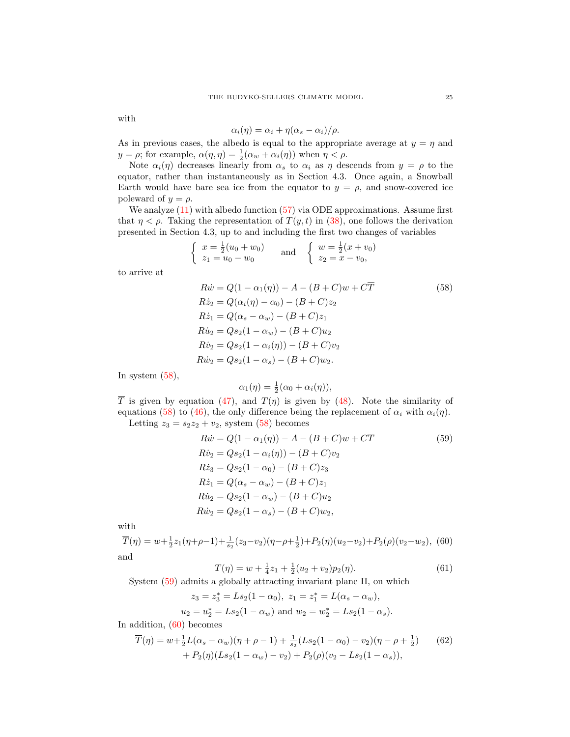with

<span id="page-24-0"></span>
$$
\alpha_i(\eta) = \alpha_i + \eta(\alpha_s - \alpha_i)/\rho.
$$

As in previous cases, the albedo is equal to the appropriate average at  $y = \eta$  and  $y = \rho$ ; for example,  $\alpha(\eta, \eta) = \frac{1}{2}(\alpha_w + \alpha_i(\eta))$  when  $\eta < \rho$ .

Note  $\alpha_i(\eta)$  decreases linearly from  $\alpha_s$  to  $\alpha_i$  as  $\eta$  descends from  $y = \rho$  to the equator, rather than instantaneously as in Section 4.3. Once again, a Snowball Earth would have bare sea ice from the equator to  $y = \rho$ , and snow-covered ice poleward of  $y = \rho$ .

We analyze  $(11)$  with albedo function  $(57)$  via ODE approximations. Assume first that  $\eta < \rho$ . Taking the representation of  $T(y, t)$  in [\(38\)](#page-18-0), one follows the derivation presented in Section 4.3, up to and including the first two changes of variables

$$
\begin{cases}\n x = \frac{1}{2}(u_0 + w_0) \\
 z_1 = u_0 - w_0\n\end{cases}\n\quad \text{and} \quad\n\begin{cases}\n w = \frac{1}{2}(x + v_0) \\
 z_2 = x - v_0,\n\end{cases}
$$

to arrive at

$$
R\dot{w} = Q(1 - \alpha_1(\eta)) - A - (B + C)w + C\overline{T}
$$
(58)  
\n
$$
R\dot{z}_2 = Q(\alpha_i(\eta) - \alpha_0) - (B + C)z_2
$$
  
\n
$$
R\dot{z}_1 = Q(\alpha_s - \alpha_w) - (B + C)z_1
$$
  
\n
$$
R\dot{u}_2 = Qs_2(1 - \alpha_w) - (B + C)u_2
$$
  
\n
$$
R\dot{v}_2 = Qs_2(1 - \alpha_i(\eta)) - (B + C)v_2
$$
  
\n
$$
R\dot{w}_2 = Qs_2(1 - \alpha_s) - (B + C)w_2.
$$

In system  $(58)$ ,

<span id="page-24-1"></span>
$$
\alpha_1(\eta) = \frac{1}{2}(\alpha_0 + \alpha_i(\eta)),
$$

T is given by equation [\(47\)](#page-19-8), and  $T(\eta)$  is given by [\(48\)](#page-19-9). Note the similarity of equations [\(58\)](#page-24-0) to [\(46\)](#page-19-6), the only difference being the replacement of  $\alpha_i$  with  $\alpha_i(\eta)$ . Letting  $z_3 = s_2z_2 + v_2$ , system [\(58\)](#page-24-0) becomes

$$
R\dot{w} = Q(1 - \alpha_1(\eta)) - A - (B + C)w + C\overline{T}
$$
(59)  
\n
$$
R\dot{v}_2 = Qs_2(1 - \alpha_i(\eta)) - (B + C)v_2
$$
  
\n
$$
R\dot{z}_3 = Qs_2(1 - \alpha_0) - (B + C)z_3
$$
  
\n
$$
R\dot{z}_1 = Q(\alpha_s - \alpha_w) - (B + C)z_1
$$
  
\n
$$
R\dot{u}_2 = Qs_2(1 - \alpha_w) - (B + C)u_2
$$
  
\n
$$
R\dot{w}_2 = Qs_2(1 - \alpha_s) - (B + C)w_2,
$$

with

<span id="page-24-2"></span>
$$
\overline{T}(\eta) = w + \frac{1}{2}z_1(\eta + \rho - 1) + \frac{1}{s_2}(z_3 - v_2)(\eta - \rho + \frac{1}{2}) + P_2(\eta)(u_2 - v_2) + P_2(\rho)(v_2 - w_2),
$$
 (60) and

<span id="page-24-3"></span>
$$
T(\eta) = w + \frac{1}{4}z_1 + \frac{1}{2}(u_2 + v_2)p_2(\eta). \tag{61}
$$

System [\(59\)](#page-24-1) admits a globally attracting invariant plane Π, on which

<span id="page-24-4"></span>
$$
z_3 = z_3^* = Ls_2(1 - \alpha_0), \ z_1 = z_1^* = L(\alpha_s - \alpha_w),
$$
  

$$
u_2 = u_2^* = Ls_2(1 - \alpha_w) \text{ and } w_2 = w_2^* = Ls_2(1 - \alpha_s).
$$

In addition, [\(60\)](#page-24-2) becomes

$$
\overline{T}(\eta) = w + \frac{1}{2}L(\alpha_s - \alpha_w)(\eta + \rho - 1) + \frac{1}{s_2}(Ls_2(1 - \alpha_0) - v_2)(\eta - \rho + \frac{1}{2})
$$
(62)  
+  $P_2(\eta)(Ls_2(1 - \alpha_w) - v_2) + P_2(\rho)(v_2 - Ls_2(1 - \alpha_s)),$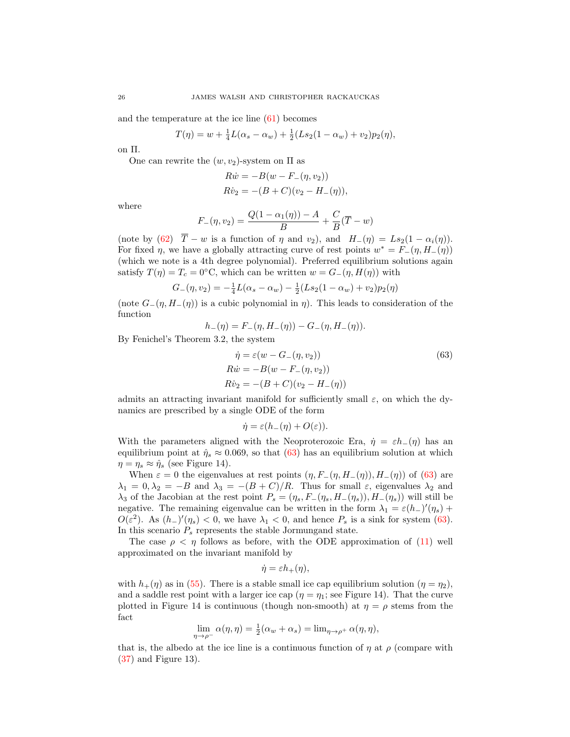and the temperature at the ice line [\(61\)](#page-24-3) becomes

<span id="page-25-0"></span>
$$
T(\eta) = w + \frac{1}{4}L(\alpha_s - \alpha_w) + \frac{1}{2}(Ls_2(1 - \alpha_w) + v_2)p_2(\eta),
$$

on Π.

One can rewrite the  $(w, v_2)$ -system on  $\Pi$  as

$$
R\dot{w} = -B(w - F_{-}(\eta, v_2))
$$
  
\n
$$
R\dot{v}_2 = -(B + C)(v_2 - H_{-}(\eta)),
$$

where

$$
F_{-}(\eta, v_2) = \frac{Q(1 - \alpha_1(\eta)) - A}{B} + \frac{C}{B}(\overline{T} - w)
$$

(note by [\(62\)](#page-24-4)  $\overline{T} - w$  is a function of  $\eta$  and  $v_2$ ), and  $H_-(\eta) = Ls_2(1 - \alpha_i(\eta))$ . For fixed  $\eta$ , we have a globally attracting curve of rest points  $w^* = F_-(\eta, H_-(\eta))$ (which we note is a 4th degree polynomial). Preferred equilibrium solutions again satisfy  $T(\eta) = T_c = 0$ °C, which can be written  $w = G_-(\eta, H(\eta))$  with

$$
G_{-}(\eta, v_2) = -\frac{1}{4}L(\alpha_s - \alpha_w) - \frac{1}{2}(Ls_2(1 - \alpha_w) + v_2)p_2(\eta)
$$

(note  $G_-(\eta, H_-(\eta))$ ) is a cubic polynomial in  $\eta$ ). This leads to consideration of the function

$$
h_{-}(\eta) = F_{-}(\eta, H_{-}(\eta)) - G_{-}(\eta, H_{-}(\eta)).
$$

By Fenichel's Theorem 3.2, the system

$$
\dot{\eta} = \varepsilon (w - G_{-}(\eta, v_2))
$$
\n
$$
R\dot{w} = -B(w - F_{-}(\eta, v_2))
$$
\n
$$
R\dot{v}_2 = -(B + C)(v_2 - H_{-}(\eta))
$$
\n(63)

admits an attracting invariant manifold for sufficiently small  $\varepsilon$ , on which the dynamics are prescribed by a single ODE of the form

$$
\dot{\eta} = \varepsilon (h_-(\eta) + O(\varepsilon)).
$$

With the parameters aligned with the Neoproterozoic Era,  $\dot{\eta} = \varepsilon h_-(\eta)$  has an equilibrium point at  $\hat{\eta}_s \approx 0.069$ , so that [\(63\)](#page-25-0) has an equilibrium solution at which  $\eta = \eta_s \approx \hat{\eta}_s$  (see Figure 14).

When  $\varepsilon = 0$  the eigenvalues at rest points  $(\eta, F_-(\eta, H_-(\eta)), H_-(\eta))$  of [\(63\)](#page-25-0) are  $\lambda_1 = 0, \lambda_2 = -B$  and  $\lambda_3 = -(B+C)/R$ . Thus for small  $\varepsilon$ , eigenvalues  $\lambda_2$  and  $\lambda_3$  of the Jacobian at the rest point  $P_s = (\eta_s, F_-(\eta_s, H_-(\eta_s)), H_-(\eta_s))$  will still be negative. The remaining eigenvalue can be written in the form  $\lambda_1 = \varepsilon (h_-)'(\eta_s) +$  $O(\varepsilon^2)$ . As  $(h_{-})'(\eta_s) < 0$ , we have  $\lambda_1 < 0$ , and hence  $P_s$  is a sink for system [\(63\)](#page-25-0). In this scenario  $P_s$  represents the stable Jormungand state.

The case  $\rho < \eta$  follows as before, with the ODE approximation of [\(11\)](#page-7-2) well approximated on the invariant manifold by

$$
\dot{\eta} = \varepsilon h_+(\eta),
$$

with  $h_+(\eta)$  as in [\(55\)](#page-22-1). There is a stable small ice cap equilibrium solution ( $\eta = \eta_2$ ), and a saddle rest point with a larger ice cap  $(\eta = \eta_1)$ ; see Figure 14). That the curve plotted in Figure 14 is continuous (though non-smooth) at  $\eta = \rho$  stems from the fact

$$
\lim_{\eta \to \rho^-} \alpha(\eta, \eta) = \frac{1}{2} (\alpha_w + \alpha_s) = \lim_{\eta \to \rho^+} \alpha(\eta, \eta),
$$

that is, the albedo at the ice line is a continuous function of  $\eta$  at  $\rho$  (compare with [\(37\)](#page-18-2) and Figure 13).

$$
^{26}
$$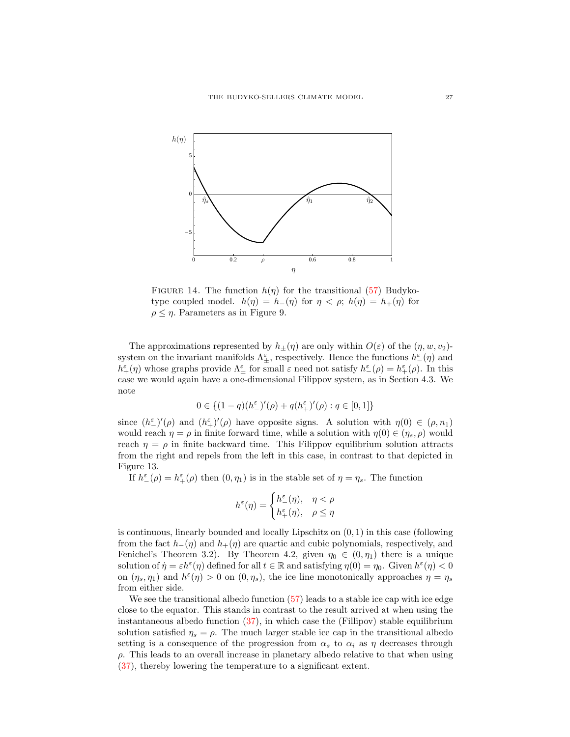

FIGURE 14. The function  $h(\eta)$  for the transitional [\(57\)](#page-23-0) Budykotype coupled model.  $h(\eta) = h_-(\eta)$  for  $\eta < \rho$ ;  $h(\eta) = h_+(\eta)$  for  $\rho \leq \eta$ . Parameters as in Figure 9.

The approximations represented by  $h_{\pm}(\eta)$  are only within  $O(\varepsilon)$  of the  $(\eta, w, v_2)$ system on the invariant manifolds  $\Lambda_{\pm}^{\epsilon}$ , respectively. Hence the functions  $h_{-}^{\epsilon}(\eta)$  and  $h^{\varepsilon}_{+}(\eta)$  whose graphs provide  $\Lambda^{\varepsilon}_{\pm}$  for small  $\varepsilon$  need not satisfy  $h^{\varepsilon}_{-}(\rho) = h^{\varepsilon}_{+}(\rho)$ . In this case we would again have a one-dimensional Filippov system, as in Section 4.3. We note

$$
0\in \{(1-q)(h^\varepsilon_-)'(\rho)+q(h^\varepsilon_+)'(\rho):q\in[0,1]\}
$$

since  $(h^{\varepsilon})'(\rho)$  and  $(h^{\varepsilon})'(\rho)$  have opposite signs. A solution with  $\eta(0) \in (\rho, n_1)$ would reach  $\eta = \rho$  in finite forward time, while a solution with  $\eta(0) \in (\eta_s, \rho)$  would reach  $\eta = \rho$  in finite backward time. This Filippov equilibrium solution attracts from the right and repels from the left in this case, in contrast to that depicted in Figure 13.

If  $h^{\varepsilon}_{-}(\rho) = h^{\varepsilon}_{+}(\rho)$  then  $(0, \eta_1)$  is in the stable set of  $\eta = \eta_s$ . The function

$$
h^{\varepsilon}(\eta) = \begin{cases} h^{\varepsilon}_{-}(\eta), & \eta < \rho \\ h^{\varepsilon}_{+}(\eta), & \rho \leq \eta \end{cases}
$$

is continuous, linearly bounded and locally Lipschitz on  $(0, 1)$  in this case (following from the fact  $h_-(\eta)$  and  $h_+(\eta)$  are quartic and cubic polynomials, respectively, and Fenichel's Theorem 3.2). By Theorem 4.2, given  $\eta_0 \in (0, \eta_1)$  there is a unique solution of  $\eta = \varepsilon h^{\varepsilon}(\eta)$  defined for all  $t \in \mathbb{R}$  and satisfying  $\eta(0) = \eta_0$ . Given  $h^{\varepsilon}(\eta) < 0$ on  $(\eta_s, \eta_1)$  and  $h^{\epsilon}(\eta) > 0$  on  $(0, \eta_s)$ , the ice line monotonically approaches  $\eta = \eta_s$ from either side.

We see the transitional albedo function  $(57)$  leads to a stable ice cap with ice edge close to the equator. This stands in contrast to the result arrived at when using the instantaneous albedo function [\(37\)](#page-18-2), in which case the (Fillipov) stable equilibrium solution satisfied  $\eta_s = \rho$ . The much larger stable ice cap in the transitional albedo setting is a consequence of the progression from  $\alpha_s$  to  $\alpha_i$  as  $\eta$  decreases through  $\rho$ . This leads to an overall increase in planetary albedo relative to that when using [\(37\)](#page-18-2), thereby lowering the temperature to a significant extent.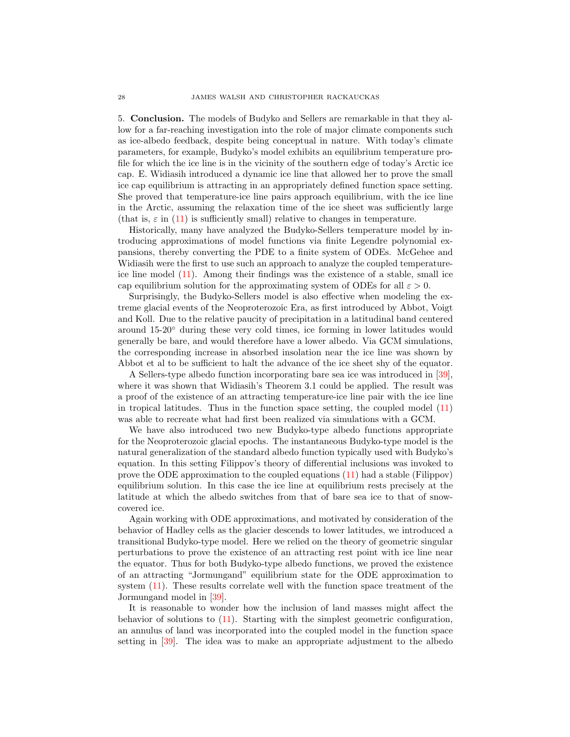5. Conclusion. The models of Budyko and Sellers are remarkable in that they allow for a far-reaching investigation into the role of major climate components such as ice-albedo feedback, despite being conceptual in nature. With today's climate parameters, for example, Budyko's model exhibits an equilibrium temperature profile for which the ice line is in the vicinity of the southern edge of today's Arctic ice cap. E. Widiasih introduced a dynamic ice line that allowed her to prove the small ice cap equilibrium is attracting in an appropriately defined function space setting. She proved that temperature-ice line pairs approach equilibrium, with the ice line in the Arctic, assuming the relaxation time of the ice sheet was sufficiently large (that is,  $\varepsilon$  in [\(11\)](#page-7-2) is sufficiently small) relative to changes in temperature.

Historically, many have analyzed the Budyko-Sellers temperature model by introducing approximations of model functions via finite Legendre polynomial expansions, thereby converting the PDE to a finite system of ODEs. McGehee and Widiasih were the first to use such an approach to analyze the coupled temperatureice line model [\(11\)](#page-7-2). Among their findings was the existence of a stable, small ice cap equilibrium solution for the approximating system of ODEs for all  $\varepsilon > 0$ .

Surprisingly, the Budyko-Sellers model is also effective when modeling the extreme glacial events of the Neoproterozoic Era, as first introduced by Abbot, Voigt and Koll. Due to the relative paucity of precipitation in a latitudinal band centered around 15-20◦ during these very cold times, ice forming in lower latitudes would generally be bare, and would therefore have a lower albedo. Via GCM simulations, the corresponding increase in absorbed insolation near the ice line was shown by Abbot et al to be sufficient to halt the advance of the ice sheet shy of the equator.

A Sellers-type albedo function incorporating bare sea ice was introduced in [\[39\]](#page-29-14), where it was shown that Widiasih's Theorem 3.1 could be applied. The result was a proof of the existence of an attracting temperature-ice line pair with the ice line in tropical latitudes. Thus in the function space setting, the coupled model [\(11\)](#page-7-2) was able to recreate what had first been realized via simulations with a GCM.

We have also introduced two new Budyko-type albedo functions appropriate for the Neoproterozoic glacial epochs. The instantaneous Budyko-type model is the natural generalization of the standard albedo function typically used with Budyko's equation. In this setting Filippov's theory of differential inclusions was invoked to prove the ODE approximation to the coupled equations [\(11\)](#page-7-2) had a stable (Filippov) equilibrium solution. In this case the ice line at equilibrium rests precisely at the latitude at which the albedo switches from that of bare sea ice to that of snowcovered ice.

Again working with ODE approximations, and motivated by consideration of the behavior of Hadley cells as the glacier descends to lower latitudes, we introduced a transitional Budyko-type model. Here we relied on the theory of geometric singular perturbations to prove the existence of an attracting rest point with ice line near the equator. Thus for both Budyko-type albedo functions, we proved the existence of an attracting "Jormungand" equilibrium state for the ODE approximation to system [\(11\)](#page-7-2). These results correlate well with the function space treatment of the Jormungand model in [\[39\]](#page-29-14).

It is reasonable to wonder how the inclusion of land masses might affect the behavior of solutions to [\(11\)](#page-7-2). Starting with the simplest geometric configuration, an annulus of land was incorporated into the coupled model in the function space setting in [\[39\]](#page-29-14). The idea was to make an appropriate adjustment to the albedo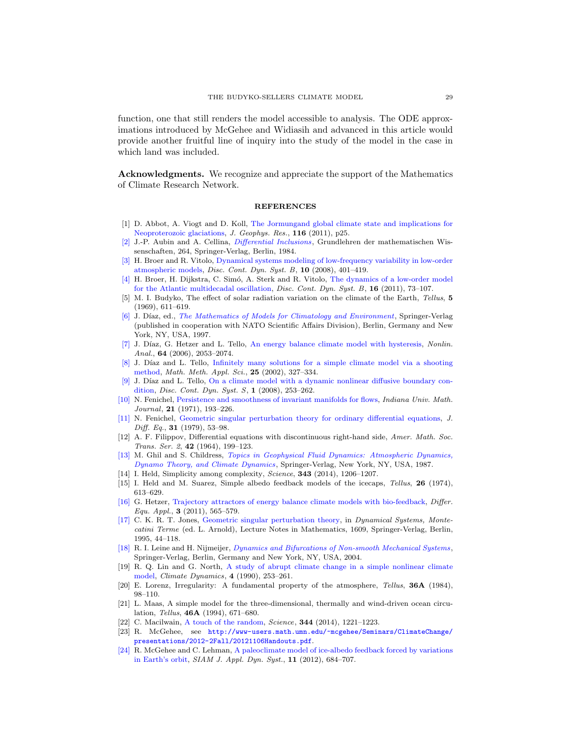function, one that still renders the model accessible to analysis. The ODE approximations introduced by McGehee and Widiasih and advanced in this article would provide another fruitful line of inquiry into the study of the model in the case in which land was included.

Acknowledgments. We recognize and appreciate the support of the Mathematics of Climate Research Network.

#### REFERENCES

- <span id="page-28-12"></span>[1] D. Abbot, A. Viogt and D. Koll, [The Jormungand global climate state and implications for](http://dx.doi.org/10.1029/2011JD015927) [Neoproterozoic glaciations,](http://dx.doi.org/10.1029/2011JD015927) J. Geophys. Res., 116 (2011), p25.
- <span id="page-28-22"></span>[\[2\]](http://www.ams.org/mathscinet-getitem?mr=MR755330&return=pdf) J.-P. Aubin and A. Cellina, [Differential Inclusions](http://dx.doi.org/10.1007/978-3-642-69512-4), Grundlehren der mathematischen Wissenschaften, 264, Springer-Verlag, Berlin, 1984.
- <span id="page-28-4"></span>[\[3\]](http://www.ams.org/mathscinet-getitem?mr=MR2425049&return=pdf) H. Broer and R. Vitolo, [Dynamical systems modeling of low-frequency variability in low-order](http://dx.doi.org/10.3934/dcdsb.2008.10.401) [atmospheric models,](http://dx.doi.org/10.3934/dcdsb.2008.10.401) Disc. Cont. Dyn. Syst. B, 10 (2008), 401–419.
- <span id="page-28-5"></span>[\[4\]](http://www.ams.org/mathscinet-getitem?mr=MR2799543&return=pdf) H. Broer, H. Dijkstra, C. Simó, A. Sterk and R. Vitolo, [The dynamics of a low-order model](http://dx.doi.org/10.3934/dcdsb.2011.16.73) [for the Atlantic multidecadal oscillation,](http://dx.doi.org/10.3934/dcdsb.2011.16.73) Disc. Cont. Dyn. Syst. B, 16 (2011), 73-107.
- <span id="page-28-11"></span>[5] M. I. Budyko, The effect of solar radiation variation on the climate of the Earth, Tellus, 5 (1969), 611–619.
- <span id="page-28-6"></span>[\[6\]](http://www.ams.org/mathscinet-getitem?mr=MR1635366&return=pdf) J. Díaz, ed., [The Mathematics of Models for Climatology and Environment](http://dx.doi.org/10.1007/978-3-642-60603-8), Springer-Verlag (published in cooperation with NATO Scientific Affairs Division), Berlin, Germany and New York, NY, USA, 1997.
- <span id="page-28-7"></span>[\[7\]](http://www.ams.org/mathscinet-getitem?mr=MR2211199&return=pdf) J. Díaz, G. Hetzer and L. Tello, [An energy balance climate model with hysteresis,](http://dx.doi.org/10.1016/j.na.2005.07.038) Nonlin. Anal., 64 (2006), 2053–2074.
- <span id="page-28-8"></span>[\[8\]](http://www.ams.org/mathscinet-getitem?mr=MR1875706&return=pdf) J. Díaz and L. Tello, [Infinitely many solutions for a simple climate model via a shooting](http://dx.doi.org/10.1002/mma.289) [method,](http://dx.doi.org/10.1002/mma.289) Math. Meth. Appl. Sci., 25 (2002), 327–334.
- <span id="page-28-9"></span>[\[9\]](http://www.ams.org/mathscinet-getitem?mr=MR2379904&return=pdf) J. Díaz and L. Tello, [On a climate model with a dynamic nonlinear diffusive boundary con](http://dx.doi.org/10.3934/dcdss.2008.1.253)[dition,](http://dx.doi.org/10.3934/dcdss.2008.1.253) Disc. Cont. Dyn. Syst. S, 1 (2008), 253–262.
- <span id="page-28-18"></span>[\[10\]](http://www.ams.org/mathscinet-getitem?mr=MR0287106&return=pdf) N. Fenichel, [Persistence and smoothness of invariant manifolds for flows,](http://dx.doi.org/10.1512/iumj.1972.21.21017) Indiana Univ. Math. Journal, **21** (1971), 193-226.
- <span id="page-28-19"></span>[\[11\]](http://www.ams.org/mathscinet-getitem?mr=MR524817&return=pdf) N. Fenichel, [Geometric singular perturbation theory for ordinary differential equations,](http://dx.doi.org/10.1016/0022-0396(79)90152-9) J. Diff. Eq.,  $31$  (1979), 53-98.
- <span id="page-28-21"></span>[12] A. F. Filippov, Differential equations with discontinuous right-hand side, Amer. Math. Soc. Trans. Ser. 2, 42 (1964), 199–123.
- <span id="page-28-15"></span>[\[13\]](http://www.ams.org/mathscinet-getitem?mr=MR878761&return=pdf) M. Ghil and S. Childress, [Topics in Geophysical Fluid Dynamics: Atmospheric Dynamics,](http://dx.doi.org/10.1007/978-1-4612-1052-8) [Dynamo Theory, and Climate Dynamics](http://dx.doi.org/10.1007/978-1-4612-1052-8), Springer-Verlag, New York, NY, USA, 1987.
- <span id="page-28-1"></span>[14] I. Held, Simplicity among complexity, Science, **343** (2014), 1206–1207.
- <span id="page-28-13"></span>[15] I. Held and M. Suarez, Simple albedo feedback models of the icecaps, Tellus, 26 (1974), 613–629.
- <span id="page-28-10"></span>[\[16\]](http://www.ams.org/mathscinet-getitem?mr=MR2918929&return=pdf) G. Hetzer, [Trajectory attractors of energy balance climate models with bio-feedback,](http://dx.doi.org/10.7153/dea-03-35) Differ. Equ. Appl.,  $3$  (2011), 565–579.
- <span id="page-28-20"></span>[\[17\]](http://www.ams.org/mathscinet-getitem?mr=MR1374108&return=pdf) C. K. R. T. Jones, [Geometric singular perturbation theory,](http://dx.doi.org/10.1007/BFb0095239) in Dynamical Systems, Montecatini Terme (ed. L. Arnold), Lecture Notes in Mathematics, 1609, Springer-Verlag, Berlin, 1995, 44–118.
- <span id="page-28-23"></span>[\[18\]](http://www.ams.org/mathscinet-getitem?mr=MR2103797&return=pdf) R. I. Leine and H. Nijmeijer, *[Dynamics and Bifurcations of Non-smooth Mechanical Systems](http://dx.doi.org/10.1007/978-3-540-44398-8)*, Springer-Verlag, Berlin, Germany and New York, NY, USA, 2004.
- <span id="page-28-14"></span>[19] R. Q. Lin and G. North, [A study of abrupt climate change in a simple nonlinear climate](http://dx.doi.org/10.1007/BF00211062) [model,](http://dx.doi.org/10.1007/BF00211062) Climate Dynamics, 4 (1990), 253–261.
- <span id="page-28-2"></span>[20] E. Lorenz, Irregularity: A fundamental property of the atmosphere, Tellus, 36A (1984), 98–110.
- <span id="page-28-3"></span>[21] L. Maas, A simple model for the three-dimensional, thermally and wind-driven ocean circulation, Tellus, 46A (1994), 671–680.
- <span id="page-28-0"></span>[22] C. Macilwain, [A touch of the random,](http://dx.doi.org/10.1126/science.344.6189.1221) Science, **344** (2014), 1221-1223.
- <span id="page-28-17"></span>[23] R. McGehee, see [http://www-users.math.umn.edu/~mcgehee/Seminars/ClimateChange/](http://www-users.math.umn.edu/~mcgehee/Seminars/ClimateChange/presentations/2012-2Fall/20121106Handouts.pdf) [presentations/2012-2Fall/20121106Handouts.pdf](http://www-users.math.umn.edu/~mcgehee/Seminars/ClimateChange/presentations/2012-2Fall/20121106Handouts.pdf).
- <span id="page-28-16"></span>[\[24\]](http://www.ams.org/mathscinet-getitem?mr=MR2967461&return=pdf) R. McGehee and C. Lehman, [A paleoclimate model of ice-albedo feedback forced by variations](http://dx.doi.org/10.1137/10079879X) [in Earth's orbit,](http://dx.doi.org/10.1137/10079879X) SIAM J. Appl. Dyn. Syst., 11 (2012), 684–707.